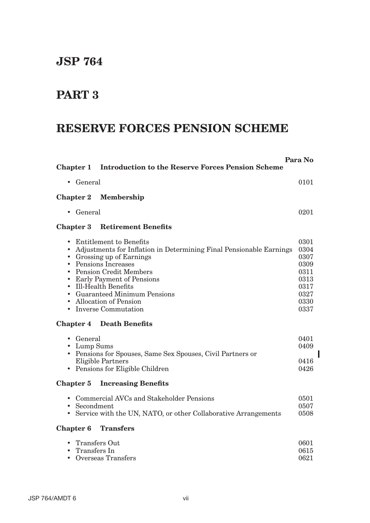# **JSP 764**

# **PART 3**

# **RESERVE FORCES PENSION SCHEME**

| <b>Chapter 1</b> Introduction to the Reserve Forces Pension Scheme                                                                                                                                                                                                                                                                                                                                    | Para No                                                                      |  |  |  |
|-------------------------------------------------------------------------------------------------------------------------------------------------------------------------------------------------------------------------------------------------------------------------------------------------------------------------------------------------------------------------------------------------------|------------------------------------------------------------------------------|--|--|--|
| • General                                                                                                                                                                                                                                                                                                                                                                                             | 0101                                                                         |  |  |  |
| <b>Chapter 2</b><br>Membership                                                                                                                                                                                                                                                                                                                                                                        |                                                                              |  |  |  |
| • General                                                                                                                                                                                                                                                                                                                                                                                             | 0201                                                                         |  |  |  |
| <b>Retirement Benefits</b><br><b>Chapter 3</b>                                                                                                                                                                                                                                                                                                                                                        |                                                                              |  |  |  |
| • Entitlement to Benefits<br>Adjustments for Inflation in Determining Final Pensionable Earnings<br>$\bullet$<br>• Grossing up of Earnings<br>Pensions Increases<br>$\bullet$<br><b>Pension Credit Members</b><br>$\bullet$<br><b>Early Payment of Pensions</b><br>$\bullet$<br>Ill-Health Benefits<br>$\bullet$<br>• Guaranteed Minimum Pensions<br>• Allocation of Pension<br>• Inverse Commutation | 0301<br>0304<br>0307<br>0309<br>0311<br>0313<br>0317<br>0327<br>0330<br>0337 |  |  |  |
| <b>Chapter 4 Death Benefits</b>                                                                                                                                                                                                                                                                                                                                                                       |                                                                              |  |  |  |
| • General<br>• Lump Sums<br>• Pensions for Spouses, Same Sex Spouses, Civil Partners or<br><b>Eligible Partners</b><br>• Pensions for Eligible Children                                                                                                                                                                                                                                               | 0401<br>0409<br>0416<br>0426                                                 |  |  |  |
| Chapter 5<br><b>Increasing Benefits</b>                                                                                                                                                                                                                                                                                                                                                               |                                                                              |  |  |  |
| • Commercial AVCs and Stakeholder Pensions<br>• Secondment<br>• Service with the UN, NATO, or other Collaborative Arrangements                                                                                                                                                                                                                                                                        | 0501<br>0507<br>0508                                                         |  |  |  |
| <b>Chapter 6</b><br><b>Transfers</b>                                                                                                                                                                                                                                                                                                                                                                  |                                                                              |  |  |  |
| Transfers Out<br>Transfers In<br>Overseas Transfers<br>$\bullet$                                                                                                                                                                                                                                                                                                                                      | 0601<br>0615<br>0621                                                         |  |  |  |

 $\overline{\phantom{a}}$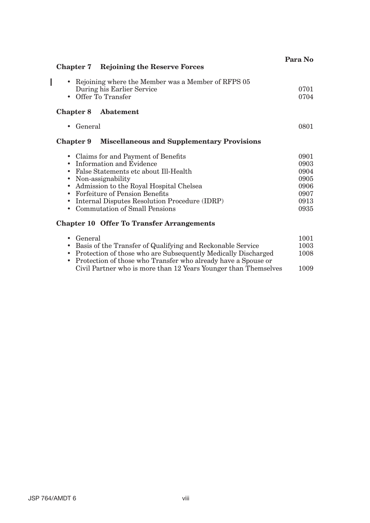|                                                            | <b>Chapter 7</b> Rejoining the Reserve Forces                                                                                                                                                                                                                                                                                                              | Para No                                                      |
|------------------------------------------------------------|------------------------------------------------------------------------------------------------------------------------------------------------------------------------------------------------------------------------------------------------------------------------------------------------------------------------------------------------------------|--------------------------------------------------------------|
|                                                            | • Rejoining where the Member was a Member of RFPS 05<br>During his Earlier Service<br>Offer To Transfer                                                                                                                                                                                                                                                    | 0701<br>0704                                                 |
|                                                            | <b>Chapter 8</b> Abatement                                                                                                                                                                                                                                                                                                                                 |                                                              |
| • General                                                  |                                                                                                                                                                                                                                                                                                                                                            | 0801                                                         |
| <b>Chapter 9</b>                                           | <b>Miscellaneous and Supplementary Provisions</b>                                                                                                                                                                                                                                                                                                          |                                                              |
| $\bullet$<br>$\bullet$<br>$\bullet$<br>٠<br>$\bullet$<br>٠ | • Claims for and Payment of Benefits<br>Information and Evidence<br>False Statements etc about Ill-Health<br>Non-assignability<br>Admission to the Royal Hospital Chelsea<br><b>Forfeiture of Pension Benefits</b><br>Internal Disputes Resolution Procedure (IDRP)<br>• Commutation of Small Pensions<br><b>Chapter 10 Offer To Transfer Arrangements</b> | 0901<br>0903<br>0904<br>0905<br>0906<br>0907<br>0913<br>0935 |
| General<br>$\bullet$<br>$\bullet$<br>٠<br>$\bullet$        | Basis of the Transfer of Qualifying and Reckonable Service<br>Protection of those who are Subsequently Medically Discharged<br>Protection of those who Transfer who already have a Spouse or<br>Civil Partner who is more than 12 Years Younger than Themselves                                                                                            | 1001<br>1003<br>1008<br>1009                                 |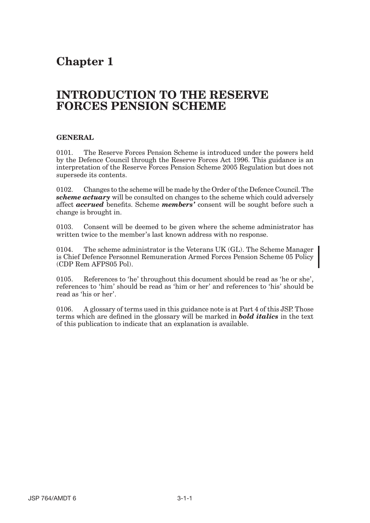## **INTRODUCTION TO THE RESERVE FORCES PENSION SCHEME**

#### **GENERAL**

0101. The Reserve Forces Pension Scheme is introduced under the powers held by the Defence Council through the Reserve Forces Act 1996. This guidance is an interpretation of the Reserve Forces Pension Scheme 2005 Regulation but does not supersede its contents.

0102. Changes to the scheme will be made by the Order of the Defence Council. The *scheme actuary* will be consulted on changes to the scheme which could adversely affect *accrued* benefits. Scheme *members'* consent will be sought before such a change is brought in.

0103. Consent will be deemed to be given where the scheme administrator has written twice to the member's last known address with no response.

0104. The scheme administrator is the Veterans UK (GL). The Scheme Manager is Chief Defence Personnel Remuneration Armed Forces Pension Scheme 05 Policy (CDP Rem AFPS05 Pol).

0105. References to 'he' throughout this document should be read as 'he or she', references to 'him' should be read as 'him or her' and references to 'his' should be read as 'his or her'.

0106. A glossary of terms used in this guidance note is at Part 4 of this JSP. Those terms which are defined in the glossary will be marked in *bold italics* in the text of this publication to indicate that an explanation is available.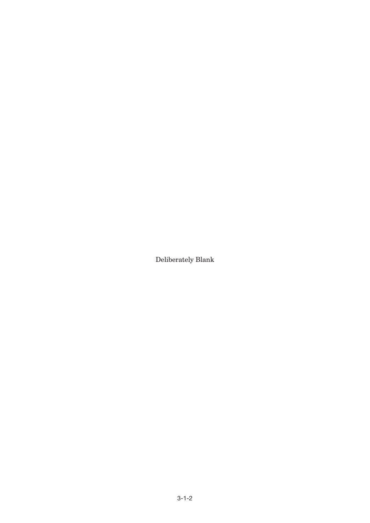Deliberately Blank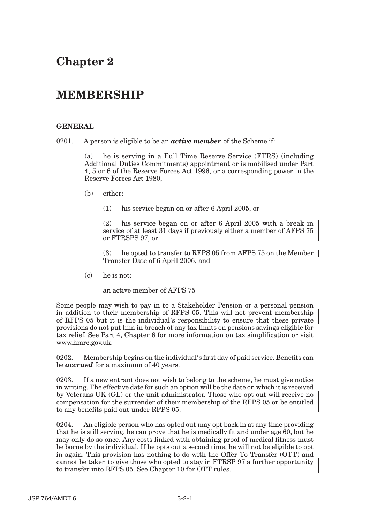## **MEMBERSHIP**

## **GENERAL**

0201. A person is eligible to be an *active member* of the Scheme if:

(a) he is serving in a Full Time Reserve Service (FTRS) (including Additional Duties Commitments) appointment or is mobilised under Part 4, 5 or 6 of the Reserve Forces Act 1996, or a corresponding power in the Reserve Forces Act 1980,

(b) either:

(1) his service began on or after 6 April 2005, or

(2) his service began on or after 6 April 2005 with a break in service of at least 31 days if previously either a member of AFPS 75 or FTRSPS 97, or

(3) he opted to transfer to RFPS 05 from AFPS 75 on the Member Transfer Date of 6 April 2006, and

(c) he is not:

an active member of AFPS 75

Some people may wish to pay in to a Stakeholder Pension or a personal pension in addition to their membership of RFPS 05. This will not prevent membership of RFPS 05 but it is the individual's responsibility to ensure that these private provisions do not put him in breach of any tax limits on pensions savings eligible for tax relief. See Part 4, Chapter 6 for more information on tax simplification or visit www.hmrc.gov.uk.

0202. Membership begins on the individual's first day of paid service. Benefits can be *accrued* for a maximum of 40 years.

0203. If a new entrant does not wish to belong to the scheme, he must give notice in writing. The effective date for such an option will be the date on which it is received by Veterans UK (GL) or the unit administrator. Those who opt out will receive no compensation for the surrender of their membership of the RFPS 05 or be entitled to any benefits paid out under RFPS 05.

0204. An eligible person who has opted out may opt back in at any time providing that he is still serving, he can prove that he is medically fit and under age 60, but he may only do so once. Any costs linked with obtaining proof of medical fitness must be borne by the individual. If he opts out a second time, he will not be eligible to opt in again. This provision has nothing to do with the Offer To Transfer (OTT) and cannot be taken to give those who opted to stay in FTRSP 97 a further opportunity to transfer into RFPS 05. See Chapter 10 for OTT rules.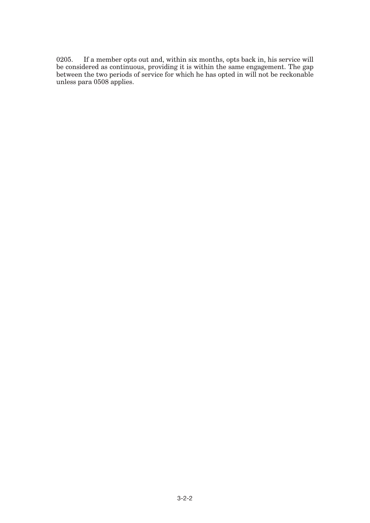0205. If a member opts out and, within six months, opts back in, his service will be considered as continuous, providing it is within the same engagement. The gap between the two periods of service for which he has opted in will not be reckonable unless para 0508 applies.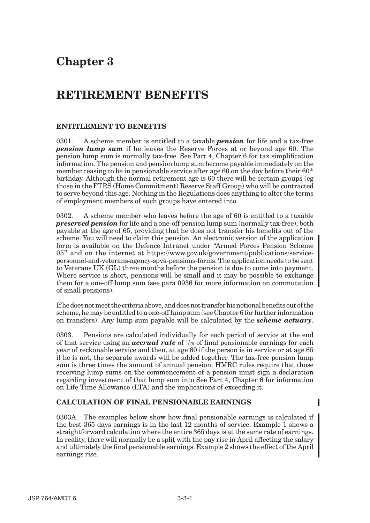# **RETIREMENT BENEFITS**

## **ENTITLEMENT TO BENEFITS**

0301. A scheme member is entitled to a taxable *pension* for life and a tax-free *pension lump sum* if he leaves the Reserve Forces at or beyond age 60. The pension lump sum is normally tax-free. See Part 4, Chapter 6 for tax simplification information. The pension and pension lump sum become payable immediately on the member ceasing to be in pensionable service after age 60 on the day before their  $60<sup>th</sup>$ birthday. Although the normal retirement age is 60 there will be certain groups (eg those in the FTRS (Home Commitment) Reserve Staff Group) who will be contracted to serve beyond this age. Nothing in the Regulations does anything to alter the terms of employment members of such groups have entered into.

0302. A scheme member who leaves before the age of 60 is entitled to a taxable *preserved pension* for life and a one-off pension lump sum (normally tax-free), both payable at the age of 65, providing that he does not transfer his benefits out of the scheme. You will need to claim this pension. An electronic version of the application form is available on the Defence Intranet under "Armed Forces Pension Scheme 05" and on the internet at https://www.gov.uk/government/publications/servicepersonnel-and-veterans-agency-spva-pensions-forms. The application needs to be sent to Veterans UK (GL) three months before the pension is due to come into payment. Where service is short, pensions will be small and it may be possible to exchange them for a one-off lump sum (see para 0936 for more information on commutation of small pensions).

If he does not meet the criteria above, and does not transfer his notional benefits out of the scheme, he may be entitled to a one-off lump sum (see Chapter 6 for further information on transfers). Any lump sum payable will be calculated by the *scheme actuary*.

0303. Pensions are calculated individually for each period of service at the end of that service using an *accrual rate* of  $\frac{1}{70}$  of final pensionable earnings for each year of reckonable service and then, at age 60 if the person is in service or at age 65 if he is not, the separate awards will be added together. The tax-free pension lump sum is three times the amount of annual pension. HMRC rules require that those receiving lump sums on the commencement of a pension must sign a declaration regarding investment of that lump sum into See Part 4, Chapter 6 for information on Life Time Allowance (LTA) and the implications of exceeding it.

## **CALCULATION OF FINAL PENSIONABLE EARNINGS**

0303A. The examples below show how final pensionable earnings is calculated if the best 365 days earnings is in the last 12 months of service. Example 1 shows a straightforward calculation where the entire 365 days is at the same rate of earnings. In reality, there will normally be a split with the pay rise in April affecting the salary and ultimately the final pensionable earnings. Example 2 shows the effect of the April earnings rise.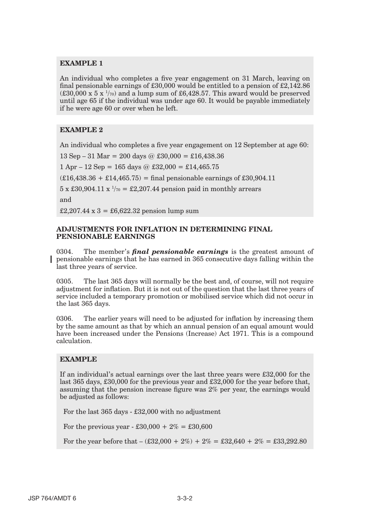#### **EXAMPLE 1**

An individual who completes a five year engagement on 31 March, leaving on final pensionable earnings of £30,000 would be entitled to a pension of £2,142.86  $(\text{\pounds}30,000 \times 5 \times \frac{1}{70})$  and a lump sum of  $\text{\pounds}6,428.57$ . This award would be preserved until age 65 if the individual was under age 60. It would be payable immediately if he were age 60 or over when he left.

## **EXAMPLE 2**

An individual who completes a five year engagement on 12 September at age 60:

13 Sep – 31 Mar = 200 days @  $\text{\pounds}30,000 = \text{\pounds}16,438.36$  $1 \text{ Apr} - 12 \text{ Sep} = 165 \text{ days}$  @ £32,000 = £14,465.75  $(f16,438.36 + f14,465.75) =$  final pensionable earnings of £30,904.11  $5 \times £30,904.11 \times \frac{1}{70} = £2,207.44$  pension paid in monthly arrears and

£2,207.44 x 3 = £6,622.32 pension lump sum

#### **ADJUSTMENTS FOR INFLATION IN DETERMINING FINAL PENSIONABLE EARNINGS**

0304. The member's *final pensionable earnings* is the greatest amount of pensionable earnings that he has earned in 365 consecutive days falling within the last three years of service.

0305. The last 365 days will normally be the best and, of course, will not require adjustment for inflation. But it is not out of the question that the last three years of service included a temporary promotion or mobilised service which did not occur in the last 365 days.

0306. The earlier years will need to be adjusted for inflation by increasing them by the same amount as that by which an annual pension of an equal amount would have been increased under the Pensions (Increase) Act 1971. This is a compound calculation.

#### **EXAMPLE**

If an individual's actual earnings over the last three years were £32,000 for the last 365 days, £30,000 for the previous year and £32,000 for the year before that, assuming that the pension increase figure was 2% per year, the earnings would be adjusted as follows:

For the last 365 days - £32,000 with no adjustment

For the previous year - £30,000 +  $2\%$  = £30,600

For the year before that  $-(\pounds32,000 + 2\%) + 2\% = \pounds32,640 + 2\% = \pounds33,292.80$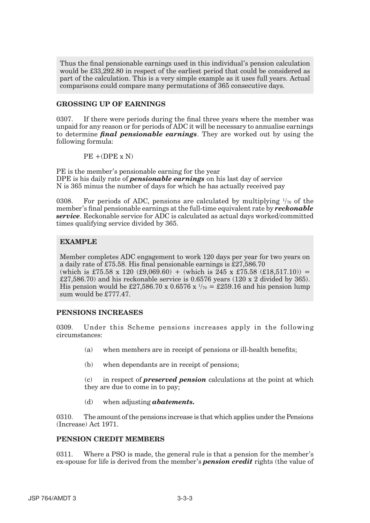Thus the final pensionable earnings used in this individual's pension calculation would be £33,292.80 in respect of the earliest period that could be considered as part of the calculation. This is a very simple example as it uses full years. Actual comparisons could compare many permutations of 365 consecutive days.

#### **GROSSING UP OF EARNINGS**

0307. If there were periods during the final three years where the member was unpaid for any reason or for periods of ADC it will be necessary to annualise earnings to determine *final pensionable earnings*. They are worked out by using the following formula:

 $PE + (DPE \times N)$ 

PE is the member's pensionable earning for the year DPE is his daily rate of *pensionable earnings* on his last day of service N is 365 minus the number of days for which he has actually received pay

0308. For periods of ADC, pensions are calculated by multiplying  $\frac{1}{70}$  of the member's final pensionable earnings at the full-time equivalent rate by *reckonable service*. Reckonable service for ADC is calculated as actual days worked/committed times qualifying service divided by 365.

#### **EXAMPLE**

Member completes ADC engagement to work 120 days per year for two years on a daily rate of £75.58. His final pensionable earnings is £27,586.70 (which is £75.58 x 120 (£9,069.60) + (which is 245 x £75.58 (£18,517.10)) =  $£27,586.70)$  and his reckonable service is 0.6576 years (120 x 2 divided by 365). His pension would be £27,586.70 x 0.6576 x  $1/70 = 259.16$  and his pension lump sum would be £777.47.

#### **PENSIONS INCREASES**

0309. Under this Scheme pensions increases apply in the following circumstances:

- (a) when members are in receipt of pensions or ill-health benefits;
- (b) when dependants are in receipt of pensions;

(c) in respect of *preserved pension* calculations at the point at which they are due to come in to pay;

(d) when adjusting *abatements.* 

0310. The amount of the pensions increase is that which applies under the Pensions (Increase) Act 1971.

#### **PENSION CREDIT MEMBERS**

0311. Where a PSO is made, the general rule is that a pension for the member's ex-spouse for life is derived from the member's *pension credit* rights (the value of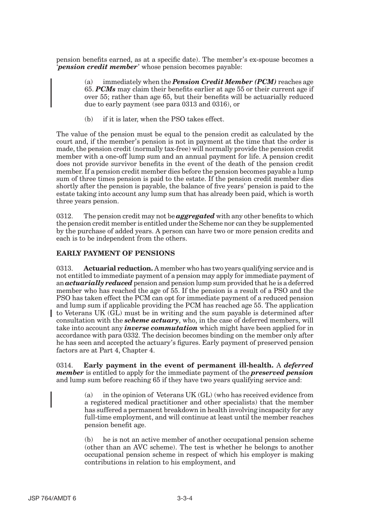pension benefits earned, as at a specific date). The member's ex-spouse becomes a '*pension credit member*' whose pension becomes payable:

> (a) immediately when the *Pension Credit Member (PCM)* reaches age 65. *PCMs* may claim their benefits earlier at age 55 or their current age if over 55; rather than age 65, but their benefits will be actuarially reduced due to early payment (see para 0313 and 0316), or

(b) if it is later, when the PSO takes effect.

The value of the pension must be equal to the pension credit as calculated by the court and, if the member's pension is not in payment at the time that the order is made, the pension credit (normally tax-free) will normally provide the pension credit member with a one-off lump sum and an annual payment for life. A pension credit does not provide survivor benefits in the event of the death of the pension credit member. If a pension credit member dies before the pension becomes payable a lump sum of three times pension is paid to the estate. If the pension credit member dies shortly after the pension is payable, the balance of five years' pension is paid to the estate taking into account any lump sum that has already been paid, which is worth three years pension.

0312. The pension credit may not be *aggregated* with any other benefits to which the pension credit member is entitled under the Scheme nor can they be supplemented by the purchase of added years. A person can have two or more pension credits and each is to be independent from the others.

## **EARLY PAYMENT OF PENSIONS**

0313. **Actuarial reduction.** A member who has two years qualifying service and is not entitled to immediate payment of a pension may apply for immediate payment of an *actuarially reduced* pension and pension lump sum provided that he is a deferred member who has reached the age of 55. If the pension is a result of a PSO and the PSO has taken effect the PCM can opt for immediate payment of a reduced pension and lump sum if applicable providing the PCM has reached age 55. The application to Veterans UK (GL) must be in writing and the sum payable is determined after consultation with the *scheme actuary*, who, in the case of deferred members, will take into account any *inverse commutation* which might have been applied for in accordance with para 0332. The decision becomes binding on the member only after he has seen and accepted the actuary's figures. Early payment of preserved pension factors are at Part 4, Chapter 4.

0314. **Early payment in the event of permanent ill-health.** A *deferred member* is entitled to apply for the immediate payment of the *preserved pension*  and lump sum before reaching 65 if they have two years qualifying service and:

> (a) in the opinion of Veterans UK (GL) (who has received evidence from a registered medical practitioner and other specialists) that the member has suffered a permanent breakdown in health involving incapacity for any full-time employment, and will continue at least until the member reaches pension benefit age.

> (b) he is not an active member of another occupational pension scheme (other than an AVC scheme). The test is whether he belongs to another occupational pension scheme in respect of which his employer is making contributions in relation to his employment, and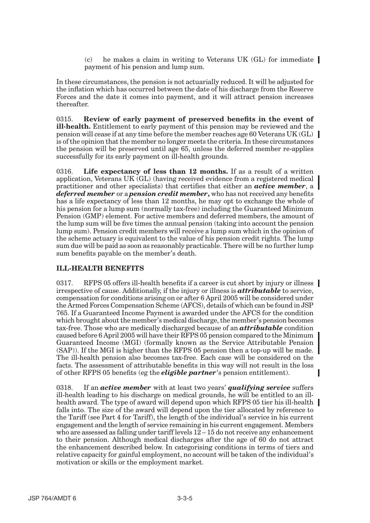(c) he makes a claim in writing to Veterans UK  $(GL)$  for immediate payment of his pension and lump sum.

In these circumstances, the pension is not actuarially reduced. It will be adjusted for the inflation which has occurred between the date of his discharge from the Reserve Forces and the date it comes into payment, and it will attract pension increases thereafter.

0315. **Review of early payment of preserved benefits in the event of ill-health.** Entitlement to early payment of this pension may be reviewed and the pension will cease if at any time before the member reaches age 60 Veterans UK (GL) is of the opinion that the member no longer meets the criteria. In these circumstances the pension will be preserved until age 65, unless the deferred member re-applies successfully for its early payment on ill-health grounds.

0316. **Life expectancy of less than 12 months.** If as a result of a written application, Veterans UK (GL) (having received evidence from a registered medical practitioner and other specialists) that certifies that either an *active member*, a *deferred member* or a *pension credit member***,** who has not received any benefits has a life expectancy of less than 12 months, he may opt to exchange the whole of his pension for a lump sum (normally tax-free) including the Guaranteed Minimum Pension (GMP) element. For active members and deferred members, the amount of the lump sum will be five times the annual pension (taking into account the pension lump sum). Pension credit members will receive a lump sum which in the opinion of the scheme actuary is equivalent to the value of his pension credit rights. The lump sum due will be paid as soon as reasonably practicable. There will be no further lump sum benefits payable on the member's death.

## **ILL-HEALTH BENEFITS**

0317. RFPS 05 offers ill-health benefits if a career is cut short by injury or illness  $\parallel$ irrespective of cause. Additionally, if the injury or illness is *attributable* to service, compensation for conditions arising on or after 6 April 2005 will be considered under the Armed Forces Compensation Scheme (AFCS), details of which can be found in JSP 765. If a Guaranteed Income Payment is awarded under the AFCS for the condition which brought about the member's medical discharge, the member's pension becomes tax-free. Those who are medically discharged because of an *attributable* condition caused before 6 April 2005 will have their RFPS 05 pension compared to the Minimum Guaranteed Income (MGI) (formally known as the Service Attributable Pension (SAP)). If the MGI is higher than the RFPS 05 pension then a top-up will be made. The ill-health pension also becomes tax-free. Each case will be considered on the facts. The assessment of attributable benefits in this way will not result in the loss of other RFPS 05 benefits (eg the *eligible partner*'s pension entitlement).

0318. If an *active member* with at least two years' *qualifying service* suffers ill-health leading to his discharge on medical grounds, he will be entitled to an illhealth award. The type of award will depend upon which RFPS 05 tier his ill-health falls into. The size of the award will depend upon the tier allocated by reference to the Tariff (see Part 4 for Tariff), the length of the individual's service in his current engagement and the length of service remaining in his current engagement. Members who are assessed as falling under tariff levels 12 – 15 do not receive any enhancement to their pension. Although medical discharges after the age of 60 do not attract the enhancement described below. In categorising conditions in terms of tiers and relative capacity for gainful employment, no account will be taken of the individual's motivation or skills or the employment market.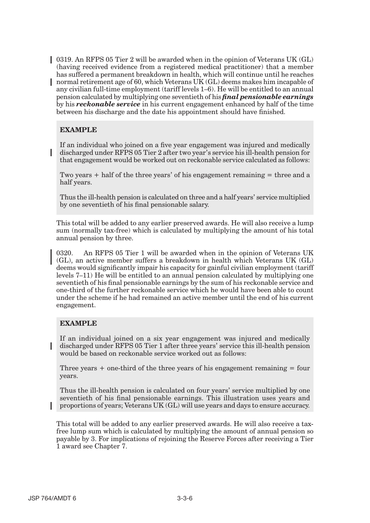0319. An RFPS 05 Tier 2 will be awarded when in the opinion of Veterans UK (GL) (having received evidence from a registered medical practitioner) that a member has suffered a permanent breakdown in health, which will continue until he reaches normal retirement age of 60, which Veterans UK (GL) deems makes him incapable of any civilian full-time employment (tariff levels 1–6). He will be entitled to an annual pension calculated by multiplying one seventieth of his *final pensionable earnings*  by his *reckonable service* in his current engagement enhanced by half of the time between his discharge and the date his appointment should have finished.

## **EXAMPLE**

If an individual who joined on a five year engagement was injured and medically discharged under RFPS 05 Tier 2 after two year's service his ill-health pension for that engagement would be worked out on reckonable service calculated as follows:

Two years  $+$  half of the three years' of his engagement remaining  $=$  three and a half years.

Thus the ill-health pension is calculated on three and a half years' service multiplied by one seventieth of his final pensionable salary.

This total will be added to any earlier preserved awards. He will also receive a lump sum (normally tax-free) which is calculated by multiplying the amount of his total annual pension by three.

0320. An RFPS 05 Tier 1 will be awarded when in the opinion of Veterans UK (GL), an active member suffers a breakdown in health which Veterans UK (GL) deems would significantly impair his capacity for gainful civilian employment (tariff levels 7–11) He will be entitled to an annual pension calculated by multiplying one seventieth of his final pensionable earnings by the sum of his reckonable service and one-third of the further reckonable service which he would have been able to count under the scheme if he had remained an active member until the end of his current engagement.

## **EXAMPLE**

If an individual joined on a six year engagement was injured and medically discharged under RFPS 05 Tier 1 after three years' service this ill-health pension would be based on reckonable service worked out as follows:

Three years  $+$  one-third of the three years of his engagement remaining  $=$  four years.

Thus the ill-health pension is calculated on four years' service multiplied by one seventieth of his final pensionable earnings. This illustration uses years and proportions of years; Veterans UK (GL) will use years and days to ensure accuracy.

This total will be added to any earlier preserved awards. He will also receive a taxfree lump sum which is calculated by multiplying the amount of annual pension so payable by 3. For implications of rejoining the Reserve Forces after receiving a Tier 1 award see Chapter 7.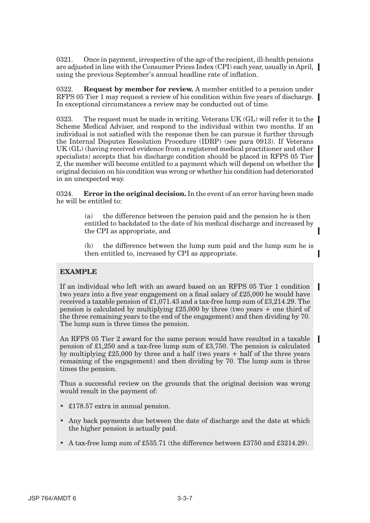0321. Once in payment, irrespective of the age of the recipient, ill-health pensions are adjusted in line with the Consumer Prices Index (CPI) each year, usually in April, using the previous September's annual headline rate of inflation.

0322. **Request by member for review.** A member entitled to a pension under RFPS 05 Tier 1 may request a review of his condition within five years of discharge. In exceptional circumstances a review may be conducted out of time.

0323. The request must be made in writing. Veterans UK  $(GL)$  will refer it to the Scheme Medical Adviser, and respond to the individual within two months. If an individual is not satisfied with the response then he can pursue it further through the Internal Disputes Resolution Procedure (IDRP) (see para 0913). If Veterans UK (GL) (having received evidence from a registered medical practitioner and other specialists) accepts that his discharge condition should be placed in RFPS 05 Tier 2, the member will become entitled to a payment which will depend on whether the original decision on his condition was wrong or whether his condition had deteriorated in an unexpected way.

0324. **Error in the original decision.** In the event of an error having been made he will be entitled to:

> (a) the difference between the pension paid and the pension he is then entitled to backdated to the date of his medical discharge and increased by the CPI as appropriate, and

> (b) the difference between the lump sum paid and the lump sum he is then entitled to, increased by CPI as appropriate.

## **EXAMPLE**

If an individual who left with an award based on an RFPS 05 Tier 1 condition two years into a five year engagement on a final salary of £25,000 he would have received a taxable pension of £1,071.43 and a tax-free lump sum of £3,214.29. The pension is calculated by multiplying £25,000 by three (two years + one third of the three remaining years to the end of the engagement) and then dividing by 70. The lump sum is three times the pension.

An RFPS 05 Tier 2 award for the same person would have resulted in a taxable pension of £1,250 and a tax-free lump sum of £3,750. The pension is calculated by multiplying £25,000 by three and a half (two years + half of the three years remaining of the engagement) and then dividing by 70. The lump sum is three times the pension.

Thus a successful review on the grounds that the original decision was wrong would result in the payment of:

- £178.57 extra in annual pension.
- • Any back payments due between the date of discharge and the date at which the higher pension is actually paid.
- • A tax-free lump sum of £535.71 (the difference between £3750 and £3214.29).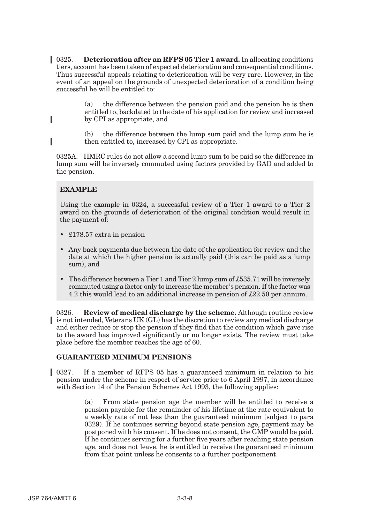0325. **Deterioration after an RFPS 05 Tier 1 award.** In allocating conditions tiers, account has been taken of expected deterioration and consequential conditions. Thus successful appeals relating to deterioration will be very rare. However, in the event of an appeal on the grounds of unexpected deterioration of a condition being successful he will be entitled to:

> (a) the difference between the pension paid and the pension he is then entitled to, backdated to the date of his application for review and increased by CPI as appropriate, and

> (b) the difference between the lump sum paid and the lump sum he is then entitled to, increased by CPI as appropriate.

0325A. HMRC rules do not allow a second lump sum to be paid so the difference in lump sum will be inversely commuted using factors provided by GAD and added to the pension.

#### **EXAMPLE**

I

Using the example in 0324, a successful review of a Tier 1 award to a Tier 2 award on the grounds of deterioration of the original condition would result in the payment of:

- £178.57 extra in pension
- • Any back payments due between the date of the application for review and the date at which the higher pension is actually paid (this can be paid as a lump sum), and
- The difference between a Tier 1 and Tier 2 lump sum of £535.71 will be inversely commuted using a factor only to increase the member's pension. If the factor was 4.2 this would lead to an additional increase in pension of £22.50 per annum.

0326. **Review of medical discharge by the scheme.** Although routine review is not intended, Veterans UK (GL) has the discretion to review any medical discharge and either reduce or stop the pension if they find that the condition which gave rise to the award has improved significantly or no longer exists. The review must take place before the member reaches the age of 60.

#### **GUARANTEED MINIMUM PENSIONS**

0327. If a member of RFPS 05 has a guaranteed minimum in relation to his pension under the scheme in respect of service prior to 6 April 1997, in accordance with Section 14 of the Pension Schemes Act 1993, the following applies:

> (a) From state pension age the member will be entitled to receive a pension payable for the remainder of his lifetime at the rate equivalent to a weekly rate of not less than the guaranteed minimum (subject to para 0329). If he continues serving beyond state pension age, payment may be postponed with his consent. If he does not consent, the GMP would be paid. If he continues serving for a further five years after reaching state pension age, and does not leave, he is entitled to receive the guaranteed minimum from that point unless he consents to a further postponement.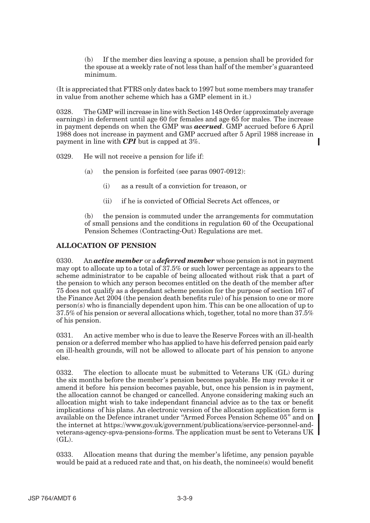(b) If the member dies leaving a spouse, a pension shall be provided for the spouse at a weekly rate of not less than half of the member's guaranteed minimum.

(It is appreciated that FTRS only dates back to 1997 but some members may transfer in value from another scheme which has a GMP element in it.)

0328. The GMP will increase in line with Section 148 Order (approximately average earnings) in deferment until age 60 for females and age 65 for males. The increase in payment depends on when the GMP was *accrued*. GMP accrued before 6 April 1988 does not increase in payment and GMP accrued after 5 April 1988 increase in payment in line with *CPI* but is capped at 3%.

0329. He will not receive a pension for life if:

- (a) the pension is forfeited (see paras 0907-0912):
	- (i) as a result of a conviction for treason, or
	- (ii) if he is convicted of Official Secrets Act offences, or

(b) the pension is commuted under the arrangements for commutation of small pensions and the conditions in regulation 60 of the Occupational Pension Schemes (Contracting-Out) Regulations are met.

#### **ALLOCATION OF PENSION**

0330. An *active member* or a *deferred member* whose pension is not in payment may opt to allocate up to a total of 37.5% or such lower percentage as appears to the scheme administrator to be capable of being allocated without risk that a part of the pension to which any person becomes entitled on the death of the member after 75 does not qualify as a dependant scheme pension for the purpose of section 167 of the Finance Act 2004 (the pension death benefits rule) of his pension to one or more person(s) who is financially dependent upon him. This can be one allocation of up to 37.5% of his pension or several allocations which, together, total no more than 37.5% of his pension.

0331. An active member who is due to leave the Reserve Forces with an ill-health pension or a deferred member who has applied to have his deferred pension paid early on ill-health grounds, will not be allowed to allocate part of his pension to anyone else.

0332. The election to allocate must be submitted to Veterans UK (GL) during the six months before the member's pension becomes payable. He may revoke it or amend it before his pension becomes payable, but, once his pension is in payment, the allocation cannot be changed or cancelled. Anyone considering making such an allocation might wish to take independant financial advice as to the tax or benefit implications of his plans. An electronic version of the allocation application form is available on the Defence intranet under "Armed Forces Pension Scheme 05" and on the internet at https://www.gov.uk/government/publications/service-personnel-andveterans-agency-spva-pensions-forms. The application must be sent to Veterans UK  $(GL).$ 

0333. Allocation means that during the member's lifetime, any pension payable would be paid at a reduced rate and that, on his death, the nominee(s) would benefit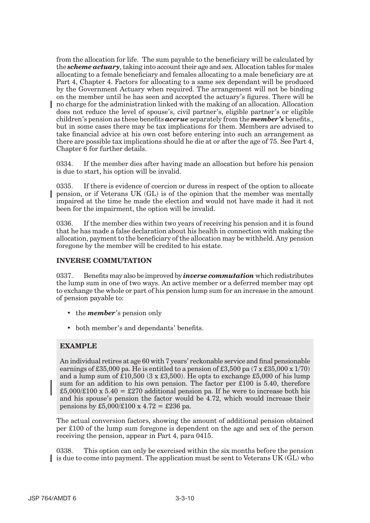from the allocation for life. The sum payable to the beneficiary will be calculated by the *scheme actuary*, taking into account their age and sex. Allocation tables for males allocating to a female beneficiary and females allocating to a male beneficiary are at Part 4, Chapter 4. Factors for allocating to a same sex dependant will be produced by the Government Actuary when required. The arrangement will not be binding on the member until he has seen and accepted the actuary's figures. There will be no charge for the administration linked with the making of an allocation. Allocation does not reduce the level of spouse's, civil partner's, eligible partner's or eligible children's pension as these benefits *accrue* separately from the *member's* benefits., but in some cases there may be tax implications for them. Members are advised to take financial advice at his own cost before entering into such an arrangement as there are possible tax implications should he die at or after the age of 75. See Part 4, Chapter 6 for further details.

0334. If the member dies after having made an allocation but before his pension is due to start, his option will be invalid.

0335. If there is evidence of coercion or duress in respect of the option to allocate pension, or if Veterans UK (GL) is of the opinion that the member was mentally impaired at the time he made the election and would not have made it had it not been for the impairment, the option will be invalid.

0336. If the member dies within two years of receiving his pension and it is found that he has made a false declaration about his health in connection with making the allocation, payment to the beneficiary of the allocation may be withheld. Any pension foregone by the member will be credited to his estate.

#### **INVERSE COMMUTATION**

0337. Benefits may also be improved by *inverse commutation* which redistributes the lump sum in one of two ways. An active member or a deferred member may opt to exchange the whole or part of his pension lump sum for an increase in the amount of pension payable to:

- the *member*'s pension only
- both member's and dependants' benefits.

## **EXAMPLE**

An individual retires at age 60 with 7 years' reckonable service and final pensionable earnings of £35,000 pa. He is entitled to a pension of £3,500 pa  $(7 \times \text{\textsterling}35,000 \times \text{\textsterling}1/70)$ and a lump sum of  $\pounds10,500$  (3 x  $\pounds3,500$ ). He opts to exchange  $\pounds5,000$  of his lump sum for an addition to his own pension. The factor per £100 is 5.40, therefore £5,000/£100 x 5.40 = £270 additional pension pa. If he were to increase both his and his spouse's pension the factor would be 4.72, which would increase their pensions by £5,000/£100 x 4.72 = £236 pa.

The actual conversion factors, showing the amount of additional pension obtained per £100 of the lump sum foregone is dependent on the age and sex of the person receiving the pension, appear in Part 4, para 0415.

0338. This option can only be exercised within the six months before the pension is due to come into payment. The application must be sent to Veterans UK (GL) who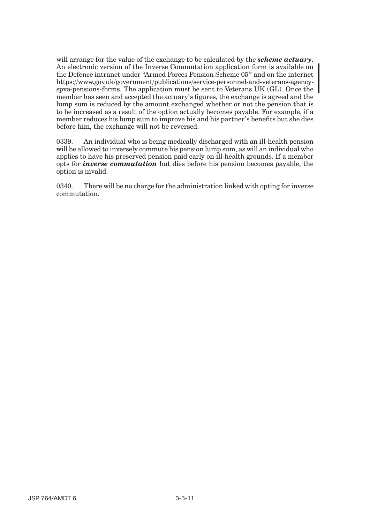will arrange for the value of the exchange to be calculated by the *scheme actuary*. An electronic version of the Inverse Commutation application form is available on the Defence intranet under "Armed Forces Pension Scheme 05" and on the internet https://www.gov.uk/government/publications/service-personnel-and-veterans-agencyspva-pensions-forms. The application must be sent to Veterans UK (GL). Once the member has seen and accepted the actuary's figures, the exchange is agreed and the lump sum is reduced by the amount exchanged whether or not the pension that is to be increased as a result of the option actually becomes payable. For example, if a member reduces his lump sum to improve his and his partner's benefits but she dies before him, the exchange will not be reversed.

0339. An individual who is being medically discharged with an ill-health pension will be allowed to inversely commute his pension lump sum, as will an individual who applies to have his preserved pension paid early on ill-health grounds. If a member opts for *inverse commutation* but dies before his pension becomes payable, the option is invalid.

0340. There will be no charge for the administration linked with opting for inverse commutation.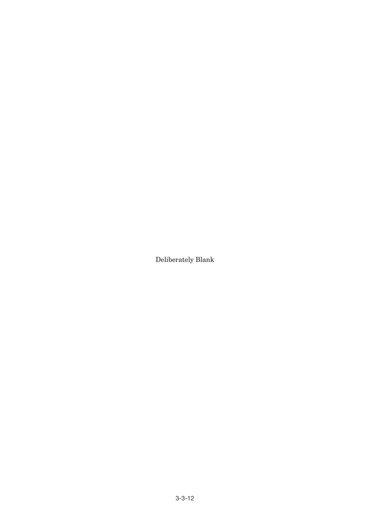Deliberately Blank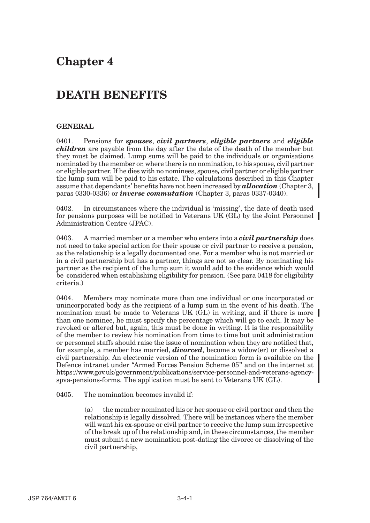# **DEATH BENEFITS**

## **GENERAL**

0401. Pensions for *spouses*, *civil partners*, *eligible partners* and *eligible children* are payable from the day after the date of the death of the member but they must be claimed. Lump sums will be paid to the individuals or organisations nominated by the member or, where there is no nomination, to his spouse, civil partner or eligible partner. If he dies with no nominees, spouse*,* civil partner or eligible partner the lump sum will be paid to his estate. The calculations described in this Chapter assume that dependants' benefits have not been increased by *allocation* (Chapter 3, paras 0330-0336) or *inverse commutation* (Chapter 3, paras 0337-0340).

0402. In circumstances where the individual is 'missing', the date of death used for pensions purposes will be notified to Veterans UK (GL) by the Joint Personnel Administration Centre (JPAC).

0403. A married member or a member who enters into a *civil partnership* does not need to take special action for their spouse or civil partner to receive a pension, as the relationship is a legally documented one. For a member who is not married or in a civil partnership but has a partner, things are not so clear. By nominating his partner as the recipient of the lump sum it would add to the evidence which would be considered when establishing eligibility for pension. (See para 0418 for eligibility criteria.)

0404. Members may nominate more than one individual or one incorporated or unincorporated body as the recipient of a lump sum in the event of his death. The nomination must be made to Veterans UK (GL) in writing, and if there is more than one nominee, he must specify the percentage which will go to each. It may be revoked or altered but, again, this must be done in writing. It is the responsibility of the member to review his nomination from time to time but unit administration or personnel staffs should raise the issue of nomination when they are notified that, for example, a member has married, *divorced*, become a widow(er) or dissolved a civil partnership. An electronic version of the nomination form is available on the Defence intranet under "Armed Forces Pension Scheme 05" and on the internet at https://www.gov.uk/government/publications/service-personnel-and-veterans-agencyspva-pensions-forms. The application must be sent to Veterans UK (GL).

0405. The nomination becomes invalid if:

(a) the member nominated his or her spouse or civil partner and then the relationship is legally dissolved. There will be instances where the member will want his ex-spouse or civil partner to receive the lump sum irrespective of the break up of the relationship and, in these circumstances, the member must submit a new nomination post-dating the divorce or dissolving of the civil partnership,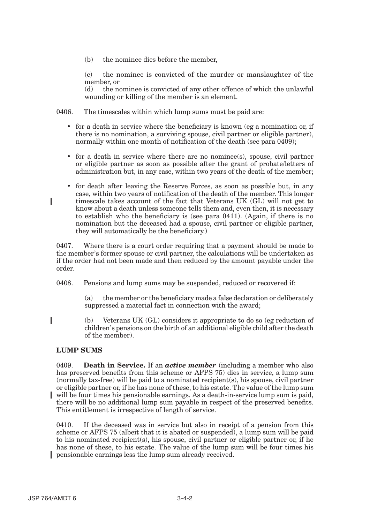(b) the nominee dies before the member,

(c) the nominee is convicted of the murder or manslaughter of the member, or

(d) the nominee is convicted of any other offence of which the unlawful wounding or killing of the member is an element.

0406. The timescales within which lump sums must be paid are:

- for a death in service where the beneficiary is known (eg a nomination or, if there is no nomination, a surviving spouse, civil partner or eligible partner), normally within one month of notification of the death (see para 0409);
- for a death in service where there are no nominee(s), spouse, civil partner or eligible partner as soon as possible after the grant of probate/letters of administration but, in any case, within two years of the death of the member;
- for death after leaving the Reserve Forces, as soon as possible but, in any case, within two years of notification of the death of the member. This longer timescale takes account of the fact that Veterans UK (GL) will not get to know about a death unless someone tells them and, even then, it is necessary to establish who the beneficiary is (see para 0411). (Again, if there is no nomination but the deceased had a spouse, civil partner or eligible partner, they will automatically be the beneficiary.)

0407. Where there is a court order requiring that a payment should be made to the member's former spouse or civil partner, the calculations will be undertaken as if the order had not been made and then reduced by the amount payable under the order.

0408. Pensions and lump sums may be suspended, reduced or recovered if:

(a) the member or the beneficiary made a false declaration or deliberately suppressed a material fact in connection with the award;

(b) Veterans UK (GL) considers it appropriate to do so (eg reduction of children's pensions on the birth of an additional eligible child after the death of the member).

## **LUMP SUMS**

I

I

0409. **Death in Service.** If an *active member* (including a member who also has preserved benefits from this scheme or AFPS 75) dies in service, a lump sum (normally tax-free) will be paid to a nominated recipient(s), his spouse, civil partner or eligible partner or, if he has none of these, to his estate. The value of the lump sum will be four times his pensionable earnings. As a death-in-service lump sum is paid, there will be no additional lump sum payable in respect of the preserved benefits. This entitlement is irrespective of length of service.

0410. If the deceased was in service but also in receipt of a pension from this scheme or AFPS 75 (albeit that it is abated or suspended), a lump sum will be paid to his nominated recipient(s), his spouse, civil partner or eligible partner or, if he has none of these, to his estate. The value of the lump sum will be four times his pensionable earnings less the lump sum already received.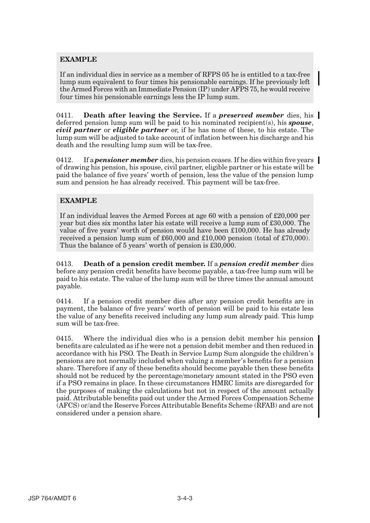## **EXAMPLE**

If an individual dies in service as a member of RFPS 05 he is entitled to a tax-free lump sum equivalent to four times his pensionable earnings. If he previously left the Armed Forces with an Immediate Pension (IP) under AFPS 75, he would receive four times his pensionable earnings less the IP lump sum.

0411. **Death after leaving the Service.** If a *preserved member* dies, his deferred pension lump sum will be paid to his nominated recipient(s), his *spouse*, *civil partner* or *eligible partner* or, if he has none of these, to his estate. The lump sum will be adjusted to take account of inflation between his discharge and his death and the resulting lump sum will be tax-free.

0412. If a *pensioner member* dies, his pension ceases. If he dies within five years | of drawing his pension, his spouse, civil partner, eligible partner or his estate will be paid the balance of five years' worth of pension, less the value of the pension lump sum and pension he has already received. This payment will be tax-free.

## **EXAMPLE**

If an individual leaves the Armed Forces at age 60 with a pension of £20,000 per year but dies six months later his estate will receive a lump sum of £30,000. The value of five years' worth of pension would have been £100,000. He has already received a pension lump sum of £60,000 and £10,000 pension (total of £70,000). Thus the balance of 5 years' worth of pension is £30,000.

0413. **Death of a pension credit member.** If a *pension credit member* dies before any pension credit benefits have become payable, a tax-free lump sum will be paid to his estate. The value of the lump sum will be three times the annual amount payable.

0414. If a pension credit member dies after any pension credit benefits are in payment, the balance of five years' worth of pension will be paid to his estate less the value of any benefits received including any lump sum already paid. This lump sum will be tax-free.

0415. Where the individual dies who is a pension debit member his pension benefits are calculated as if he were not a pension debit member and then reduced in accordance with his PSO. The Death in Service Lump Sum alongside the children's pensions are not normally included when valuing a member's benefits for a pension share. Therefore if any of these benefits should become payable then these benefits should not be reduced by the percentage/monetary amount stated in the PSO even if a PSO remains in place. In these circumstances HMRC limits are disregarded for the purposes of making the calculations but not in respect of the amount actually paid. Attributable benefits paid out under the Armed Forces Compensation Scheme (AFCS) or/and the Reserve Forces Attributable Benefits Scheme (RFAB) and are not considered under a pension share.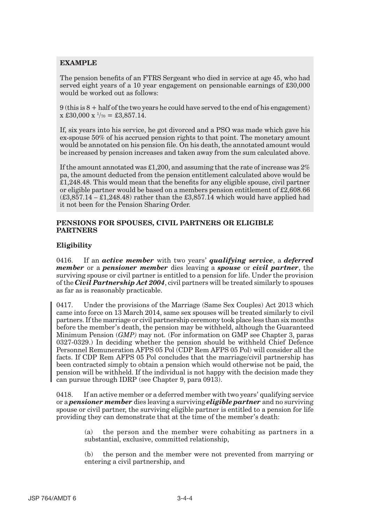## **EXAMPLE**

The pension benefits of an FTRS Sergeant who died in service at age 45, who had served eight years of a 10 year engagement on pensionable earnings of £30,000 would be worked out as follows:

9 (this is 8 + half of the two years he could have served to the end of his engagement)  $x \pounds 30,000 \times \frac{1}{70} = \pounds 3,857.14.$ 

If, six years into his service, he got divorced and a PSO was made which gave his ex-spouse 50% of his accrued pension rights to that point. The monetary amount would be annotated on his pension file. On his death, the annotated amount would be increased by pension increases and taken away from the sum calculated above.

If the amount annotated was £1,200, and assuming that the rate of increase was  $2\%$ pa, the amount deducted from the pension entitlement calculated above would be £1,248.48. This would mean that the benefits for any eligible spouse, civil partner or eligible partner would be based on a members pension entitlement of £2,608.66  $(£3,857.14 - £1,248.48)$  rather than the £3,857.14 which would have applied had it not been for the Pension Sharing Order.

#### **PENSIONS FOR SPOUSES, CIVIL PARTNERS OR ELIGIBLE PARTNERS**

#### **Eligibility**

0416. If an *active member* with two years' *qualifying service*, a *deferred member* or a *pensioner member* dies leaving a *spouse* or *civil partner*, the surviving spouse or civil partner is entitled to a pension for life. Under the provision of the *Civil Partnership Act 2004*, civil partners will be treated similarly to spouses as far as is reasonably practicable.

0417. Under the provisions of the Marriage (Same Sex Couples) Act 2013 which came into force on 13 March 2014, same sex spouses will be treated similarly to civil partners. If the marriage or civil partnership ceremony took place less than six months before the member's death, the pension may be withheld, although the Guaranteed Minimum Pension (*GMP)* may not*.* (For information on GMP see Chapter 3, paras 0327-0329.) In deciding whether the pension should be withheld Chief Defence Personnel Remuneration AFPS 05 Pol (CDP Rem AFPS 05 Pol) will consider all the facts. If CDP Rem AFPS 05 Pol concludes that the marriage/civil partnership has been contracted simply to obtain a pension which would otherwise not be paid, the pension will be withheld. If the individual is not happy with the decision made they can pursue through IDRP (see Chapter 9, para 0913).

0418. If an active member or a deferred member with two years' qualifying service or a *pensioner member* dies leaving a surviving *eligible partner* and no surviving spouse or civil partner, the surviving eligible partner is entitled to a pension for life providing they can demonstrate that at the time of the member's death:

> (a) the person and the member were cohabiting as partners in a substantial, exclusive, committed relationship,

> (b) the person and the member were not prevented from marrying or entering a civil partnership, and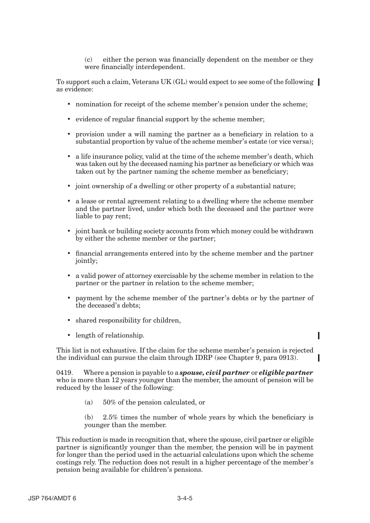(c) either the person was financially dependent on the member or they were financially interdependent.

To support such a claim, Veterans UK (GL) would expect to see some of the following as evidence:

- nomination for receipt of the scheme member's pension under the scheme;
- evidence of regular financial support by the scheme member;
- • provision under a will naming the partner as a beneficiary in relation to a substantial proportion by value of the scheme member's estate (or vice versa);
- a life insurance policy, valid at the time of the scheme member's death, which was taken out by the deceased naming his partner as beneficiary or which was taken out by the partner naming the scheme member as beneficiary;
- joint ownership of a dwelling or other property of a substantial nature;
- a lease or rental agreement relating to a dwelling where the scheme member and the partner lived, under which both the deceased and the partner were liable to pay rent;
- • joint bank or building society accounts from which money could be withdrawn by either the scheme member or the partner;
- financial arrangements entered into by the scheme member and the partner jointly;
- • a valid power of attorney exercisable by the scheme member in relation to the partner or the partner in relation to the scheme member;
- payment by the scheme member of the partner's debts or by the partner of the deceased's debts;
- shared responsibility for children,
- length of relationship.

This list is not exhaustive. If the claim for the scheme member's pension is rejected the individual can pursue the claim through IDRP (see Chapter 9, para 0913).

0419. Where a pension is payable to a *spouse, civil partner* or *eligible partner*  who is more than 12 years younger than the member, the amount of pension will be reduced by the lesser of the following:

(a) 50% of the pension calculated, or

(b) 2.5% times the number of whole years by which the beneficiary is younger than the member.

This reduction is made in recognition that, where the spouse, civil partner or eligible partner is significantly younger than the member, the pension will be in payment for longer than the period used in the actuarial calculations upon which the scheme costings rely. The reduction does not result in a higher percentage of the member's pension being available for children's pensions.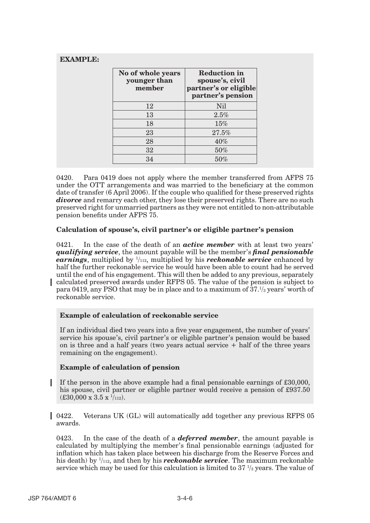## **EXAMPLE:**

| No of whole years<br>younger than<br>member | <b>Reduction in</b><br>spouse's, civil<br>partner's or eligible<br>partner's pension |
|---------------------------------------------|--------------------------------------------------------------------------------------|
| 12                                          | Nil                                                                                  |
| 13                                          | $2.5\%$                                                                              |
| 18                                          | 15%                                                                                  |
| 23                                          | 27.5%                                                                                |
| 28                                          | 40%                                                                                  |
| 32                                          | 50%                                                                                  |
| 34                                          | $50\%$                                                                               |

0420. Para 0419 does not apply where the member transferred from AFPS 75 under the OTT arrangements and was married to the beneficiary at the common date of transfer (6 April 2006). If the couple who qualified for these preserved rights divorce and remarry each other, they lose their preserved rights. There are no such preserved right for unmarried partners as they were not entitled to non-attributable pension benefits under AFPS 75.

## **Calculation of spouse's, civil partner's or eligible partner's pension**

0421. In the case of the death of an *active member* with at least two years' *qualifying service*, the amount payable will be the member's *final pensionable*  earnings, multiplied by  $\frac{1}{112}$ , multiplied by his *reckonable service* enhanced by half the further reckonable service he would have been able to count had he served until the end of his engagement. This will then be added to any previous, separately calculated preserved awards under RFPS 05. The value of the pension is subject to para 0419, any PSO that may be in place and to a maximum of 37.1 /3 years' worth of reckonable service.

## **Example of calculation of reckonable service**

If an individual died two years into a five year engagement, the number of years' service his spouse's, civil partner's or eligible partner's pension would be based on is three and a half years (two years actual service + half of the three years remaining on the engagement).

## **Example of calculation of pension**

If the person in the above example had a final pensionable earnings of £30,000, his spouse, civil partner or eligible partner would receive a pension of £937.50  $(\pounds 30,000 \times 3.5 \times \frac{1}{112}).$ 

0422. Veterans UK (GL) will automatically add together any previous RFPS 05 awards.

0423. In the case of the death of a *deferred member*, the amount payable is calculated by multiplying the member's final pensionable earnings (adjusted for inflation which has taken place between his discharge from the Reserve Forces and his death) by  $\frac{1}{112}$ , and then by his *reckonable service*. The maximum reckonable service which may be used for this calculation is limited to 37  $\frac{1}{3}$  years. The value of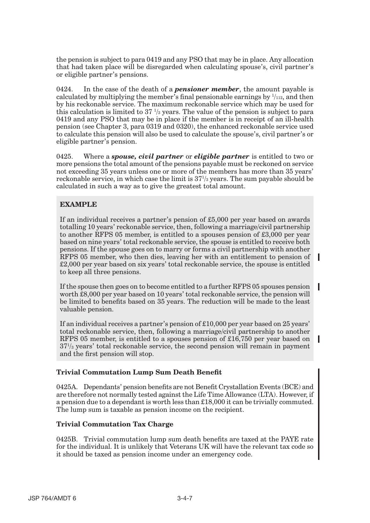the pension is subject to para 0419 and any PSO that may be in place. Any allocation that had taken place will be disregarded when calculating spouse's, civil partner's or eligible partner's pensions.

0424. In the case of the death of a *pensioner member*, the amount payable is calculated by multiplying the member's final pensionable earnings by  $\frac{1}{112}$ , and then by his reckonable service. The maximum reckonable service which may be used for this calculation is limited to 37 1 /3 years. The value of the pension is subject to para 0419 and any PSO that may be in place if the member is in receipt of an ill-health pension (see Chapter 3, para 0319 and 0320), the enhanced reckonable service used to calculate this pension will also be used to calculate the spouse's, civil partner's or eligible partner's pension.

0425. Where a *spouse, civil partner* or *eligible partner* is entitled to two or more pensions the total amount of the pensions payable must be reckoned on service not exceeding 35 years unless one or more of the members has more than 35 years' reckonable service, in which case the limit is 371 /3 years. The sum payable should be calculated in such a way as to give the greatest total amount.

## **EXAMPLE**

If an individual receives a partner's pension of £5,000 per year based on awards totalling 10 years' reckonable service, then, following a marriage/civil partnership to another RFPS 05 member, is entitled to a spouses pension of £3,000 per year based on nine years' total reckonable service, the spouse is entitled to receive both pensions. If the spouse goes on to marry or forms a civil partnership with another RFPS 05 member, who then dies, leaving her with an entitlement to pension of £2,000 per year based on six years' total reckonable service, the spouse is entitled to keep all three pensions.

If the spouse then goes on to become entitled to a further RFPS 05 spouses pension worth £8,000 per year based on 10 years' total reckonable service, the pension will be limited to benefits based on 35 years. The reduction will be made to the least valuable pension.

If an individual receives a partner's pension of  $£10,000$  per year based on 25 years' total reckonable service, then, following a marriage/civil partnership to another RFPS 05 member, is entitled to a spouses pension of £16,750 per year based on ı 371 /3 years' total reckonable service, the second pension will remain in payment and the first pension will stop.

## **Trivial Commutation Lump Sum Death Benefit**

0425A. Dependants' pension benefits are not Benefit Crystallation Events (BCE) and are therefore not normally tested against the Life Time Allowance (LTA). However, if a pension due to a dependant is worth less than £18,000 it can be trivially commuted. The lump sum is taxable as pension income on the recipient.

## **Trivial Commutation Tax Charge**

0425B. Trivial commutation lump sum death benefits are taxed at the PAYE rate for the individual. It is unlikely that Veterans UK will have the relevant tax code so it should be taxed as pension income under an emergency code.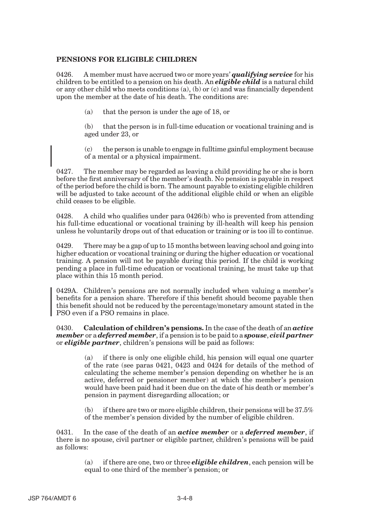#### **PENSIONS FOR ELIGIBLE CHILDREN**

0426. A member must have accrued two or more years' *qualifying service* for his children to be entitled to a pension on his death. An *eligible child* is a natural child or any other child who meets conditions (a), (b) or (c) and was financially dependent upon the member at the date of his death. The conditions are:

(a) that the person is under the age of 18, or

(b) that the person is in full-time education or vocational training and is aged under 23, or

(c) the person is unable to engage in fulltime gainful employment because of a mental or a physical impairment.

0427. The member may be regarded as leaving a child providing he or she is born before the first anniversary of the member's death. No pension is payable in respect of the period before the child is born. The amount payable to existing eligible children will be adjusted to take account of the additional eligible child or when an eligible child ceases to be eligible.

0428. A child who qualifies under para  $0426(b)$  who is prevented from attending his full-time educational or vocational training by ill-health will keep his pension unless he voluntarily drops out of that education or training or is too ill to continue.

0429. There may be a gap of up to 15 months between leaving school and going into higher education or vocational training or during the higher education or vocational training. A pension will not be payable during this period. If the child is working pending a place in full-time education or vocational training, he must take up that place within this 15 month period.

0429A. Children's pensions are not normally included when valuing a member's benefits for a pension share. Therefore if this benefit should become payable then this benefit should not be reduced by the percentage/monetary amount stated in the PSO even if a PSO remains in place.

0430. **Calculation of children's pensions.** In the case of the death of an *active member* or a *deferred member*, if a pension is to be paid to a *spouse*, *civil partner*  or *eligible partner*, children's pensions will be paid as follows:

> (a) if there is only one eligible child, his pension will equal one quarter of the rate (see paras 0421, 0423 and 0424 for details of the method of calculating the scheme member's pension depending on whether he is an active, deferred or pensioner member) at which the member's pension would have been paid had it been due on the date of his death or member's pension in payment disregarding allocation; or

> (b) if there are two or more eligible children, their pensions will be  $37.5\%$ of the member's pension divided by the number of eligible children.

0431. In the case of the death of an *active member* or a *deferred member*, if there is no spouse, civil partner or eligible partner, children's pensions will be paid as follows:

> (a) if there are one, two or three *eligible children*, each pension will be equal to one third of the member's pension; or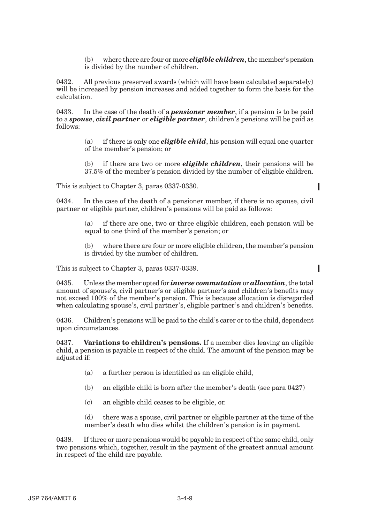(b) where there are four or more *eligible children*, the member's pension is divided by the number of children.

0432. All previous preserved awards (which will have been calculated separately) will be increased by pension increases and added together to form the basis for the calculation.

0433. In the case of the death of a *pensioner member*, if a pension is to be paid to a *spouse*, *civil partner* or *eligible partner*, children's pensions will be paid as follows:

> (a) if there is only one *eligible child*, his pension will equal one quarter of the member's pension; or

> (b) if there are two or more *eligible children*, their pensions will be 37.5% of the member's pension divided by the number of eligible children.

> > Ι

I

This is subject to Chapter 3, paras 0337-0330.

0434. In the case of the death of a pensioner member, if there is no spouse, civil partner or eligible partner, children's pensions will be paid as follows:

> (a) if there are one, two or three eligible children, each pension will be equal to one third of the member's pension; or

> where there are four or more eligible children, the member's pension is divided by the number of children.

This is subject to Chapter 3, paras 0337-0339.

0435. Unless the member opted for *inverse commutation* or *allocation*, the total amount of spouse's, civil partner's or eligible partner's and children's benefits may not exceed 100% of the member's pension. This is because allocation is disregarded when calculating spouse's, civil partner's, eligible partner's and children's benefits.

0436. Children's pensions will be paid to the child's carer or to the child, dependent upon circumstances.

0437. **Variations to children's pensions.** If a member dies leaving an eligible child, a pension is payable in respect of the child. The amount of the pension may be adjusted if:

- (a) a further person is identified as an eligible child,
- (b) an eligible child is born after the member's death (see para 0427)
- (c) an eligible child ceases to be eligible, or.

(d) there was a spouse, civil partner or eligible partner at the time of the member's death who dies whilst the children's pension is in payment.

0438. If three or more pensions would be payable in respect of the same child, only two pensions which, together, result in the payment of the greatest annual amount in respect of the child are payable.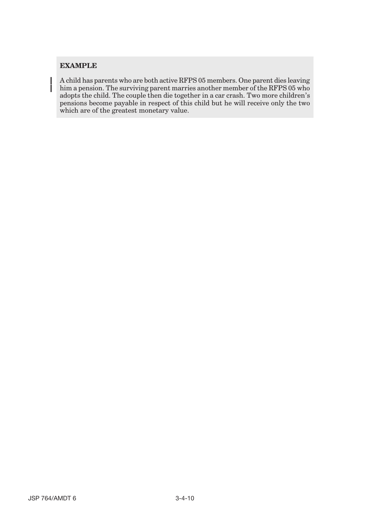## **EXAMPLE**

A child has parents who are both active RFPS 05 members. One parent dies leaving him a pension. The surviving parent marries another member of the RFPS 05 who adopts the child. The couple then die together in a car crash. Two more children's pensions become payable in respect of this child but he will receive only the two which are of the greatest monetary value.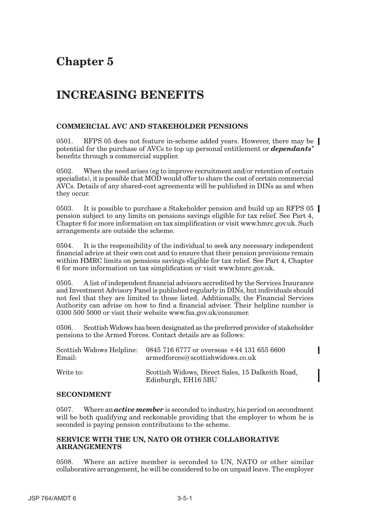# **INCREASING BENEFITS**

## **COMMERCIAL AVC AND STAKEHOLDER PENSIONS**

0501. RFPS 05 does not feature in-scheme added years. However, there may be potential for the purchase of AVCs to top up personal entitlement or *dependants'*  benefits through a commercial supplier.

0502. When the need arises (eg to improve recruitment and/or retention of certain specialists), it is possible that MOD would offer to share the cost of certain commercial AVCs. Details of any shared-cost agreements will be published in DINs as and when they occur.

0503. It is possible to purchase a Stakeholder pension and build up an RFPS 05 pension subject to any limits on pensions savings eligible for tax relief. See Part 4, Chapter 6 for more information on tax simplification or visit www.hmrc.gov.uk. Such arrangements are outside the scheme.

0504. It is the responsibility of the individual to seek any necessary independent financial advice at their own cost and to ensure that their pension provisions remain withim HMRC limits on pensions savings eligible for tax relief. See Part 4, Chapter 6 for more information on tax simplification or visit www.hmrc.gov.uk.

0505. A list of independent financial advisors accredited by the Services Insurance and Investment Advisory Panel is published regularly in DINs, but individuals should not feel that they are limited to those listed. Additionally, the Financial Services Authority can advise on how to find a financial adviser. Their helpline number is 0300 500 5000 or visit their website www.fsa.gov.uk/consumer.

0506. Scottish Widows has been designated as the preferred provider of stakeholder pensions to the Armed Forces. Contact details are as follows:

I

| Email:    | Scottish Widows Helpline: 0845 716 6777 or overseas +44 131 655 6600<br>$\alpha$ rmedforces@scottishwidows.co.uk |
|-----------|------------------------------------------------------------------------------------------------------------------|
| Write to: | Scottish Widows, Direct Sales, 15 Dalkeith Road,<br>Edinburgh, EH16 5BU                                          |

#### **SECONDMENT**

0507. Where an *active member* is seconded to industry, his period on secondment will be both qualifying and reckonable providing that the employer to whom he is seconded is paying pension contributions to the scheme.

#### **SERVICE WITH THE UN, NATO OR OTHER COLLABORATIVE ARRANGEMENTS**

0508. Where an active member is seconded to UN, NATO or other similar collaborative arrangement, he will be considered to be on unpaid leave. The employer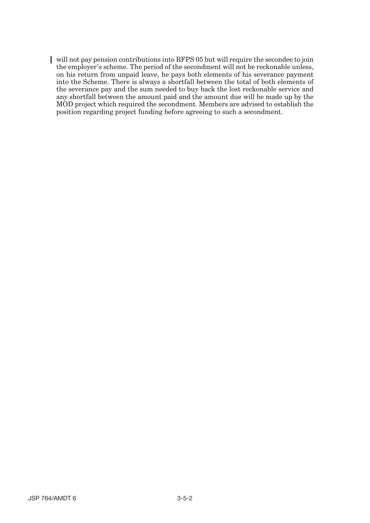will not pay pension contributions into RFPS 05 but will require the secondee to join the employer's scheme. The period of the secondment will not be reckonable unless, on his return from unpaid leave, he pays both elements of his severance payment into the Scheme. There is always a shortfall between the total of both elements of the severance pay and the sum needed to buy back the lost reckonable service and any shortfall between the amount paid and the amount due will be made up by the MOD project which required the secondment. Members are advised to establish the position regarding project funding before agreeing to such a secondment.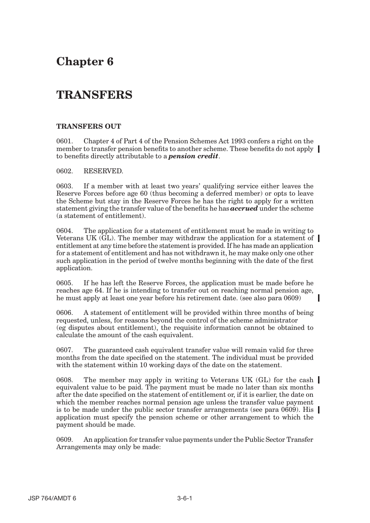## **TRANSFERS**

## **TRANSFERS OUT**

0601. Chapter 4 of Part 4 of the Pension Schemes Act 1993 confers a right on the member to transfer pension benefits to another scheme. These benefits do not apply to benefits directly attributable to a *pension credit*.

0602. RESERVED.

0603. If a member with at least two years' qualifying service either leaves the Reserve Forces before age 60 (thus becoming a deferred member) or opts to leave the Scheme but stay in the Reserve Forces he has the right to apply for a written statement giving the transfer value of the benefits he has *accrued* under the scheme (a statement of entitlement).

0604. The application for a statement of entitlement must be made in writing to Veterans UK (GL). The member may withdraw the application for a statement of entitlement at any time before the statement is provided. If he has made an application for a statement of entitlement and has not withdrawn it, he may make only one other such application in the period of twelve months beginning with the date of the first application.

0605. If he has left the Reserve Forces, the application must be made before he reaches age 64. If he is intending to transfer out on reaching normal pension age, he must apply at least one year before his retirement date. (see also para 0609)

0606. A statement of entitlement will be provided within three months of being requested, unless, for reasons beyond the control of the scheme administrator (eg disputes about entitlement), the requisite information cannot be obtained to calculate the amount of the cash equivalent.

0607. The guaranteed cash equivalent transfer value will remain valid for three months from the date specified on the statement. The individual must be provided with the statement within 10 working days of the date on the statement.

0608. The member may apply in writing to Veterans UK (GL) for the cash | equivalent value to be paid. The payment must be made no later than six months after the date specified on the statement of entitlement or, if it is earlier, the date on which the member reaches normal pension age unless the transfer value payment is to be made under the public sector transfer arrangements (see para 0609). His application must specify the pension scheme or other arrangement to which the payment should be made.

0609. An application for transfer value payments under the Public Sector Transfer Arrangements may only be made: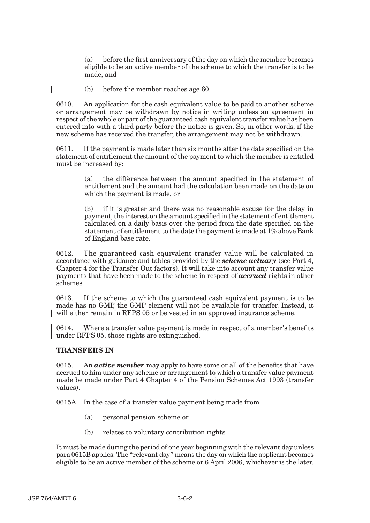(a) before the first anniversary of the day on which the member becomes eligible to be an active member of the scheme to which the transfer is to be made, and

(b) before the member reaches age 60.

0610. An application for the cash equivalent value to be paid to another scheme or arrangement may be withdrawn by notice in writing unless an agreement in respect of the whole or part of the guaranteed cash equivalent transfer value has been entered into with a third party before the notice is given. So, in other words, if the new scheme has received the transfer, the arrangement may not be withdrawn.

0611. If the payment is made later than six months after the date specified on the statement of entitlement the amount of the payment to which the member is entitled must be increased by:

> (a) the difference between the amount specified in the statement of entitlement and the amount had the calculation been made on the date on which the payment is made, or

> (b) if it is greater and there was no reasonable excuse for the delay in payment, the interest on the amount specified in the statement of entitlement calculated on a daily basis over the period from the date specified on the statement of entitlement to the date the payment is made at 1% above Bank of England base rate.

0612. The guaranteed cash equivalent transfer value will be calculated in accordance with guidance and tables provided by the *scheme actuary* (see Part 4, Chapter 4 for the Transfer Out factors). It will take into account any transfer value payments that have been made to the scheme in respect of *accrued* rights in other schemes.

0613. If the scheme to which the guaranteed cash equivalent payment is to be made has no GMP, the GMP element will not be available for transfer. Instead, it will either remain in RFPS 05 or be vested in an approved insurance scheme.

0614. Where a transfer value payment is made in respect of a member's benefits under RFPS 05, those rights are extinguished.

#### **TRANSFERS IN**

0615. An *active member* may apply to have some or all of the benefits that have accrued to him under any scheme or arrangement to which a transfer value payment made be made under Part 4 Chapter 4 of the Pension Schemes Act 1993 (transfer values).

0615A. In the case of a transfer value payment being made from

- (a) personal pension scheme or
- (b) relates to voluntary contribution rights

It must be made during the period of one year beginning with the relevant day unless para 0615B applies. The "relevant day" means the day on which the applicant becomes eligible to be an active member of the scheme or 6 April 2006, whichever is the later.

I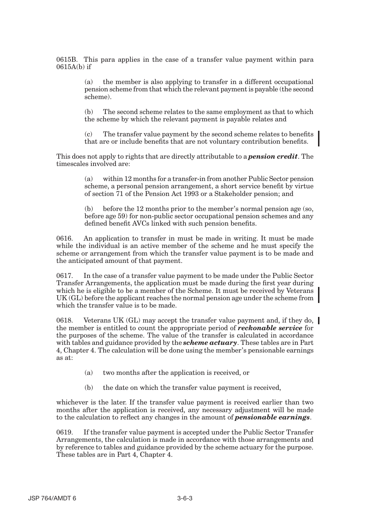0615B. This para applies in the case of a transfer value payment within para 0615A(b) if

> (a) the member is also applying to transfer in a different occupational pension scheme from that which the relevant payment is payable (the second scheme).

> (b) The second scheme relates to the same employment as that to which the scheme by which the relevant payment is payable relates and

> (c) The transfer value payment by the second scheme relates to benefits that are or include benefits that are not voluntary contribution benefits.

This does not apply to rights that are directly attributable to a *pension credit*. The timescales involved are:

> (a) within 12 months for a transfer-in from another Public Sector pension scheme, a personal pension arrangement, a short service benefit by virtue of section 71 of the Pension Act 1993 or a Stakeholder pension; and

> (b) before the 12 months prior to the member's normal pension age (so, before age 59) for non-public sector occupational pension schemes and any defined benefit AVCs linked with such pension benefits.

0616. An application to transfer in must be made in writing. It must be made while the individual is an active member of the scheme and he must specify the scheme or arrangement from which the transfer value payment is to be made and the anticipated amount of that payment.

0617. In the case of a transfer value payment to be made under the Public Sector Transfer Arrangements, the application must be made during the first year during which he is eligible to be a member of the Scheme. It must be received by Veterans UK (GL) before the applicant reaches the normal pension age under the scheme from which the transfer value is to be made.

0618. Veterans UK (GL) may accept the transfer value payment and, if they do,  $\vert$ the member is entitled to count the appropriate period of *reckonable service* for the purposes of the scheme. The value of the transfer is calculated in accordance with tables and guidance provided by the *scheme actuary*. These tables are in Part 4, Chapter 4. The calculation will be done using the member's pensionable earnings as at:

- (a) two months after the application is received, or
- (b) the date on which the transfer value payment is received,

whichever is the later. If the transfer value payment is received earlier than two months after the application is received, any necessary adjustment will be made to the calculation to reflect any changes in the amount of *pensionable earnings*.

0619. If the transfer value payment is accepted under the Public Sector Transfer Arrangements, the calculation is made in accordance with those arrangements and by reference to tables and guidance provided by the scheme actuary for the purpose. These tables are in Part 4, Chapter 4.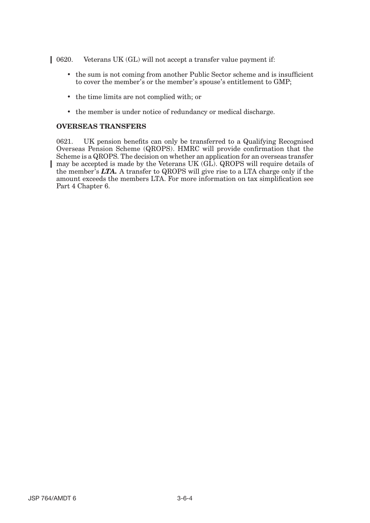0620. Veterans UK (GL) will not accept a transfer value payment if:

- the sum is not coming from another Public Sector scheme and is insufficient to cover the member's or the member's spouse's entitlement to GMP;
- the time limits are not complied with; or
- the member is under notice of redundancy or medical discharge.

#### **OVERSEAS TRANSFERS**

0621. UK pension benefits can only be transferred to a Qualifying Recognised Overseas Pension Scheme (QROPS). HMRC will provide confirmation that the Scheme is a QROPS. The decision on whether an application for an overseas transfer may be accepted is made by the Veterans UK (GL). QROPS will require details of the member's *LTA.* A transfer to QROPS will give rise to a LTA charge only if the amount exceeds the members LTA. For more information on tax simplification see Part 4 Chapter 6.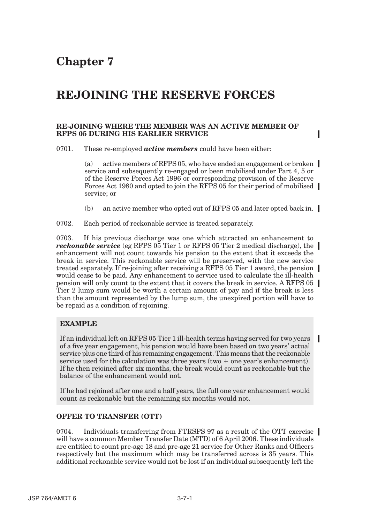# **REJOINING THE RESERVE FORCES**

#### **RE-JOINING WHERE THE MEMBER WAS AN ACTIVE MEMBER OF RFPS 05 DURING HIS EARLIER SERVICE**

0701. These re-employed *active members* could have been either:

(a) active members of RFPS 05, who have ended an engagement or broken service and subsequently re-engaged or been mobilised under Part 4, 5 or of the Reserve Forces Act 1996 or corresponding provision of the Reserve Forces Act 1980 and opted to join the RFPS 05 for their period of mobilised service; or

- (b) an active member who opted out of RFPS 05 and later opted back in.
- 0702. Each period of reckonable service is treated separately.

0703. If his previous discharge was one which attracted an enhancement to *reckonable service* (eg RFPS 05 Tier 1 or RFPS 05 Tier 2 medical discharge), the enhancement will not count towards his pension to the extent that it exceeds the break in service. This reckonable service will be preserved, with the new service treated separately. If re-joining after receiving a RFPS 05 Tier 1 award, the pension would cease to be paid. Any enhancement to service used to calculate the ill-health pension will only count to the extent that it covers the break in service. A RFPS 05 Tier 2 lump sum would be worth a certain amount of pay and if the break is less than the amount represented by the lump sum, the unexpired portion will have to be repaid as a condition of rejoining.

## **EXAMPLE**

If an individual left on RFPS 05 Tier 1 ill-health terms having served for two years of a five year engagement, his pension would have been based on two years' actual service plus one third of his remaining engagement. This means that the reckonable service used for the calculation was three years (two + one year's enhancement). If he then rejoined after six months, the break would count as reckonable but the balance of the enhancement would not.

If he had rejoined after one and a half years, the full one year enhancement would count as reckonable but the remaining six months would not.

#### **OFFER TO TRANSFER (OTT)**

0704. Individuals transferring from FTRSPS 97 as a result of the OTT exercise will have a common Member Transfer Date (MTD) of 6 April 2006. These individuals are entitled to count pre-age 18 and pre-age 21 service for Other Ranks and Officers respectively but the maximum which may be transferred across is 35 years. This additional reckonable service would not be lost if an individual subsequently left the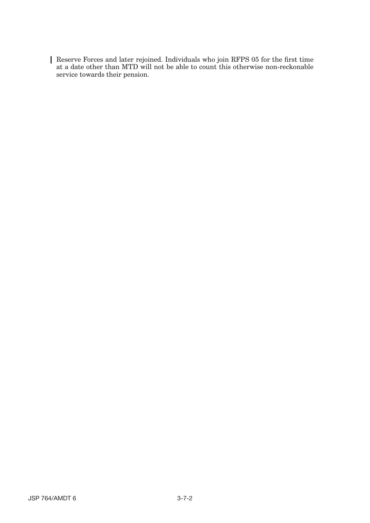Reserve Forces and later rejoined. Individuals who join RFPS 05 for the first time at a date other than MTD will not be able to count this otherwise non-reckonable service towards their pension.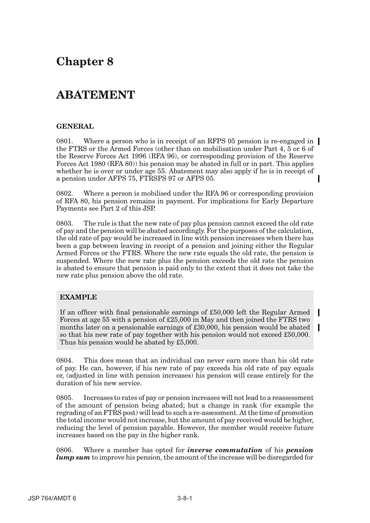## **ABATEMENT**

## **GENERAL**

0801. Where a person who is in receipt of an RFPS 05 pension is re-engaged in  $\vert$ the FTRS or the Armed Forces (other than on mobilisation under Part 4, 5 or 6 of the Reserve Forces Act 1996 (RFA 96), or corresponding provision of the Reserve Forces Act 1980 (RFA 80)) his pension may be abated in full or in part. This applies whether he is over or under age 55. Abatement may also apply if he is in receipt of a pension under AFPS 75, FTRSPS 97 or AFPS 05.

0802. Where a person is mobilised under the RFA 96 or corresponding provision of RFA 80, his pension remains in payment. For implications for Early Departure Payments see Part 2 of this JSP.

0803. The rule is that the new rate of pay plus pension cannot exceed the old rate of pay and the pension will be abated accordingly. For the purposes of the calculation, the old rate of pay would be increased in line with pension increases when there has been a gap between leaving in receipt of a pension and joining either the Regular Armed Forces or the FTRS. Where the new rate equals the old rate, the pension is suspended. Where the new rate plus the pension exceeds the old rate the pension is abated to ensure that pension is paid only to the extent that it does not take the new rate plus pension above the old rate.

#### **EXAMPLE**

If an officer with final pensionable earnings of £50,000 left the Regular Armed Forces at age 55 with a pension of £25,000 in May and then joined the FTRS two months later on a pensionable earnings of £30,000, his pension would be abated so that his new rate of pay together with his pension would not exceed £50,000. Thus his pension would be abated by £5,000.

0804. This does mean that an individual can never earn more than his old rate of pay. He can, however, if his new rate of pay exceeds his old rate of pay equals or, (adjusted in line with pension increases) his pension will cease entirely for the duration of his new service.

0805. Increases to rates of pay or pension increases will not lead to a reassessment of the amount of pension being abated; but a change in rank (for example the regrading of an FTRS post) will lead to such a re-assessment. At the time of promotion the total income would not increase, but the amount of pay received would be higher, reducing the level of pension payable. However, the member would receive future increases based on the pay in the higher rank.

0806. Where a member has opted for *inverse commutation* of his *pension lump sum* to improve his pension, the amount of the increase will be disregarded for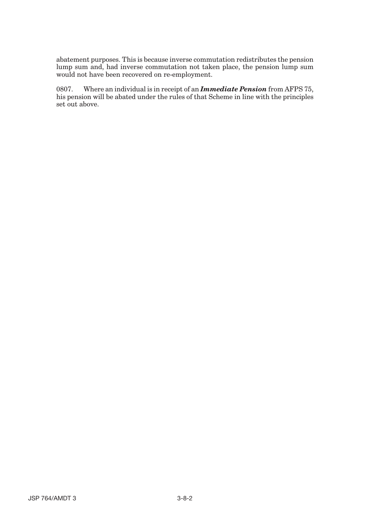abatement purposes. This is because inverse commutation redistributes the pension lump sum and, had inverse commutation not taken place, the pension lump sum would not have been recovered on re-employment.

0807. Where an individual is in receipt of an *Immediate Pension* from AFPS 75, his pension will be abated under the rules of that Scheme in line with the principles set out above.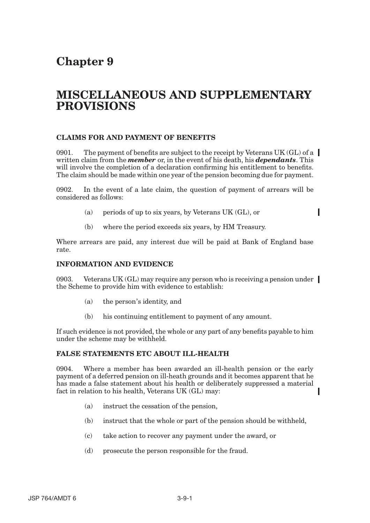## **MISCELLANEOUS AND SUPPLEMENTARY PROVISIONS**

#### **CLAIMS FOR AND PAYMENT OF BENEFITS**

0901. The payment of benefits are subject to the receipt by Veterans UK (GL) of a written claim from the *member* or, in the event of his death, his *dependants*. This will involve the completion of a declaration confirming his entitlement to benefits. The claim should be made within one year of the pension becoming due for payment.

0902. In the event of a late claim, the question of payment of arrears will be considered as follows:

(a) periods of up to six years, by Veterans UK (GL), or

I

(b) where the period exceeds six years, by HM Treasury.

Where arrears are paid, any interest due will be paid at Bank of England base rate.

#### **INFORMATION AND EVIDENCE**

0903. Veterans UK (GL) may require any person who is receiving a pension under the Scheme to provide him with evidence to establish:

- (a) the person's identity, and
- (b) his continuing entitlement to payment of any amount.

If such evidence is not provided, the whole or any part of any benefits payable to him under the scheme may be withheld.

#### **FALSE STATEMENTS ETC ABOUT ILL-HEALTH**

0904. Where a member has been awarded an ill-health pension or the early payment of a deferred pension on ill-heath grounds and it becomes apparent that he has made a false statement about his health or deliberately suppressed a material fact in relation to his health, Veterans UK (GL) may: ı

- (a) instruct the cessation of the pension,
- (b) instruct that the whole or part of the pension should be withheld,
- (c) take action to recover any payment under the award, or
- (d) prosecute the person responsible for the fraud.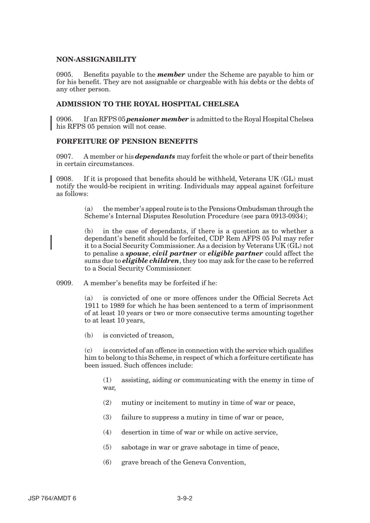#### **NON-ASSIGNABILITY**

0905. Benefits payable to the *member* under the Scheme are payable to him or for his benefit. They are not assignable or chargeable with his debts or the debts of any other person.

## **ADMISSION TO THE ROYAL HOSPITAL CHELSEA**

0906. If an RFPS 05 *pensioner member* is admitted to the Royal Hospital Chelsea his RFPS 05 pension will not cease.

#### **FORFEITURE OF PENSION BENEFITS**

0907. A member or his *dependants* may forfeit the whole or part of their benefits in certain circumstances.

0908. If it is proposed that benefits should be withheld, Veterans UK (GL) must notify the would-be recipient in writing. Individuals may appeal against forfeiture as follows:

> (a) the member's appeal route is to the Pensions Ombudsman through the Scheme's Internal Disputes Resolution Procedure (see para 0913-0934);

> (b) in the case of dependants, if there is a question as to whether a dependant's benefit should be forfeited, CDP Rem AFPS 05 Pol may refer it to a Social Security Commissioner. As a decision by Veterans UK (GL) not to penalise a *spouse*, *civil partner* or *eligible partner* could affect the sums due to *eligible children*, they too may ask for the case to be referred to a Social Security Commissioner.

0909. A member's benefits may be forfeited if he:

(a) is convicted of one or more offences under the Official Secrets Act 1911 to 1989 for which he has been sentenced to a term of imprisonment of at least 10 years or two or more consecutive terms amounting together to at least 10 years,

(b) is convicted of treason,

(c) is convicted of an offence in connection with the service which qualifies him to belong to this Scheme, in respect of which a forfeiture certificate has been issued. Such offences include:

(1) assisting, aiding or communicating with the enemy in time of war,

- (2) mutiny or incitement to mutiny in time of war or peace,
- (3) failure to suppress a mutiny in time of war or peace,
- (4) desertion in time of war or while on active service,
- (5) sabotage in war or grave sabotage in time of peace,
- (6) grave breach of the Geneva Convention,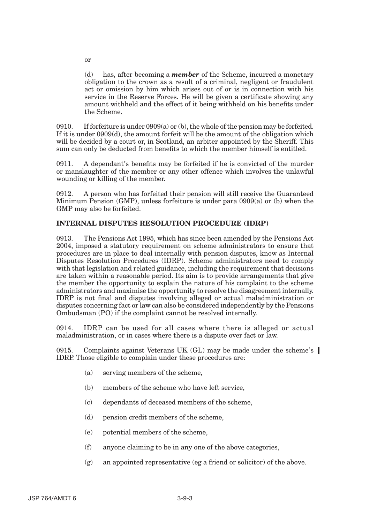(d) has, after becoming a *member* of the Scheme, incurred a monetary obligation to the crown as a result of a criminal, negligent or fraudulent act or omission by him which arises out of or is in connection with his service in the Reserve Forces. He will be given a certificate showing any amount withheld and the effect of it being withheld on his benefits under the Scheme.

0910. If forfeiture is under  $0909(a)$  or (b), the whole of the pension may be forfeited. If it is under 0909(d), the amount forfeit will be the amount of the obligation which will be decided by a court or, in Scotland, an arbiter appointed by the Sheriff. This sum can only be deducted from benefits to which the member himself is entitled.

0911. A dependant's benefits may be forfeited if he is convicted of the murder or manslaughter of the member or any other offence which involves the unlawful wounding or killing of the member.

0912. A person who has forfeited their pension will still receive the Guaranteed Minimum Pension (GMP), unless forfeiture is under para 0909(a) or (b) when the GMP may also be forfeited.

## **INTERNAL DISPUTES RESOLUTION PROCEDURE (IDRP)**

0913. The Pensions Act 1995, which has since been amended by the Pensions Act 2004, imposed a statutory requirement on scheme administrators to ensure that procedures are in place to deal internally with pension disputes, know as Internal Disputes Resolution Procedures (IDRP). Scheme administrators need to comply with that legislation and related guidance, including the requirement that decisions are taken within a reasonable period. Its aim is to provide arrangements that give the member the opportunity to explain the nature of his complaint to the scheme administrators and maximise the opportunity to resolve the disagreement internally. IDRP is not final and disputes involving alleged or actual maladministration or disputes concerning fact or law can also be considered independently by the Pensions Ombudsman (PO) if the complaint cannot be resolved internally.

0914. IDRP can be used for all cases where there is alleged or actual maladministration, or in cases where there is a dispute over fact or law.

0915. Complaints against Veterans UK  $(GL)$  may be made under the scheme's IDRP. Those eligible to complain under these procedures are:

- (a) serving members of the scheme,
- (b) members of the scheme who have left service,
- (c) dependants of deceased members of the scheme,
- (d) pension credit members of the scheme,
- (e) potential members of the scheme,
- (f) anyone claiming to be in any one of the above categories,
- (g) an appointed representative (eg a friend or solicitor) of the above.

or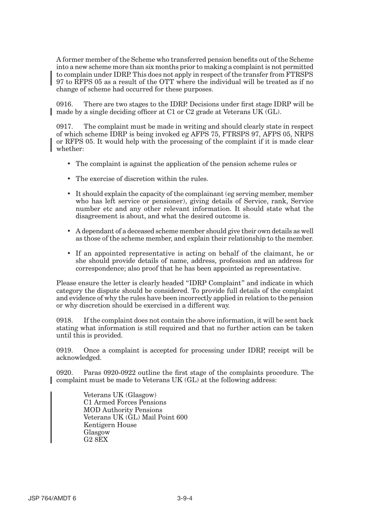A former member of the Scheme who transferred pension benefits out of the Scheme into a new scheme more than six months prior to making a complaint is not permitted to complain under IDRP. This does not apply in respect of the transfer from FTRSPS 97 to RFPS 05 as a result of the OTT where the individual will be treated as if no change of scheme had occurred for these purposes.

0916. There are two stages to the IDRP. Decisions under first stage IDRP will be made by a single deciding officer at C1 or C2 grade at Veterans UK  $\overline{(\text{GL})}$ .

0917. The complaint must be made in writing and should clearly state in respect of which scheme IDRP is being invoked eg AFPS 75, FTRSPS 97, AFPS 05, NRPS or RFPS 05. It would help with the processing of the complaint if it is made clear whether:

- The complaint is against the application of the pension scheme rules or
- The exercise of discretion within the rules.
- • It should explain the capacity of the complainant (eg serving member, member who has left service or pensioner), giving details of Service, rank, Service number etc and any other relevant information. It should state what the disagreement is about, and what the desired outcome is.
- • A dependant of a deceased scheme member should give their own details as well as those of the scheme member, and explain their relationship to the member.
- If an appointed representative is acting on behalf of the claimant, he or she should provide details of name, address, profession and an address for correspondence; also proof that he has been appointed as representative.

Please ensure the letter is clearly headed "IDRP Complaint" and indicate in which category the dispute should be considered. To provide full details of the complaint and evidence of why the rules have been incorrectly applied in relation to the pension or why discretion should be exercised in a different way.

0918. If the complaint does not contain the above information, it will be sent back stating what information is still required and that no further action can be taken until this is provided.

0919. Once a complaint is accepted for processing under IDRP, receipt will be acknowledged.

0920. Paras 0920-0922 outline the first stage of the complaints procedure. The complaint must be made to Veterans UK (GL) at the following address:

> Veterans UK (Glasgow) C1 Armed Forces Pensions MOD Authority Pensions Veterans UK (GL) Mail Point 600 Kentigern House Glasgow G2 8EX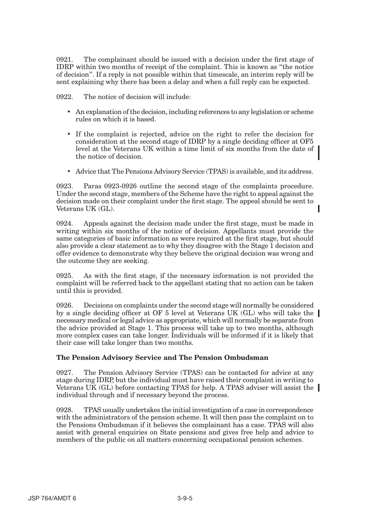0921. The complainant should be issued with a decision under the first stage of IDRP within two months of receipt of the complaint. This is known as "the notice of decision". If a reply is not possible within that timescale, an interim reply will be sent explaining why there has been a delay and when a full reply can be expected.

0922. The notice of decision will include:

- An explanation of the decision, including references to any legislation or scheme rules on which it is based.
- • If the complaint is rejected, advice on the right to refer the decision for consideration at the second stage of IDRP by a single deciding officer at OF5 level at the Veterans UK within a time limit of six months from the date of the notice of decision.
- • Advice that The Pensions Advisory Service (TPAS) is available, and its address.

0923. Paras 0923-0926 outline the second stage of the complaints procedure. Under the second stage, members of the Scheme have the right to appeal against the decision made on their complaint under the first stage. The appeal should be sent to Veterans UK (GL).

0924. Appeals against the decision made under the first stage, must be made in writing within six months of the notice of decision. Appellants must provide the same categories of basic information as were required at the first stage, but should also provide a clear statement as to why they disagree with the Stage 1 decision and offer evidence to demonstrate why they believe the original decision was wrong and the outcome they are seeking.

0925. As with the first stage, if the necessary information is not provided the complaint will be referred back to the appellant stating that no action can be taken until this is provided.

0926. Decisions on complaints under the second stage will normally be considered by a single deciding officer at OF 5 level at Veterans UK (GL) who will take the necessary medical or legal advice as appropriate, which will normally be separate from the advice provided at Stage 1. This process will take up to two months, although more complex cases can take longer. Individuals will be informed if it is likely that their case will take longer than two months.

#### **The Pension Advisory Service and The Pension Ombudsman**

0927. The Pension Advisory Service (TPAS) can be contacted for advice at any stage during IDRP, but the individual must have raised their complaint in writing to Veterans UK (GL) before contacting TPAS for help. A TPAS adviser will assist the individual through and if necessary beyond the process.

0928. TPAS usually undertakes the initial investigation of a case in correspondence with the administrators of the pension scheme. It will then pass the complaint on to the Pensions Ombudsman if it believes the complainant has a case. TPAS will also assist with general enquiries on State pensions and gives free help and advice to members of the public on all matters concerning occupational pension schemes.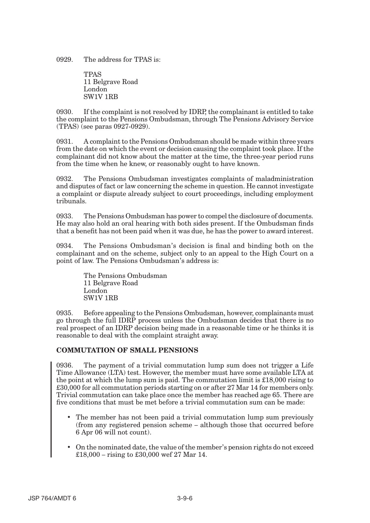0929. The address for TPAS is:

TPAS 11 Belgrave Road London SW1V 1RB

0930. If the complaint is not resolved by IDRP, the complainant is entitled to take the complaint to the Pensions Ombudsman, through The Pensions Advisory Service (TPAS) (see paras 0927-0929).

0931. A complaint to the Pensions Ombudsman should be made within three years from the date on which the event or decision causing the complaint took place. If the complainant did not know about the matter at the time, the three-year period runs from the time when he knew, or reasonably ought to have known.

0932. The Pensions Ombudsman investigates complaints of maladministration and disputes of fact or law concerning the scheme in question. He cannot investigate a complaint or dispute already subject to court proceedings, including employment tribunals.

0933. The Pensions Ombudsman has power to compel the disclosure of documents. He may also hold an oral hearing with both sides present. If the Ombudsman finds that a benefit has not been paid when it was due, he has the power to award interest.

0934. The Pensions Ombudsman's decision is final and binding both on the complainant and on the scheme, subject only to an appeal to the High Court on a point of law. The Pensions Ombudsman's address is:

> The Pensions Ombudsman 11 Belgrave Road London SW1V 1RB

0935. Before appealing to the Pensions Ombudsman, however, complainants must go through the full IDRP process unless the Ombudsman decides that there is no real prospect of an IDRP decision being made in a reasonable time or he thinks it is reasonable to deal with the complaint straight away.

## **COMMUTATION OF SMALL PENSIONS**

0936. The payment of a trivial commutation lump sum does not trigger a Life Time Allowance (LTA) test. However, the member must have some available LTA at the point at which the lump sum is paid. The commutation limit is £18,000 rising to £30,000 for all commutation periods starting on or after 27 Mar 14 for members only. Trivial commutation can take place once the member has reached age 65. There are five conditions that must be met before a trivial commutation sum can be made:

- The member has not been paid a trivial commutation lump sum previously (from any registered pension scheme – although those that occurred before 6 Apr 06 will not count).
- • On the nominated date, the value of the member's pension rights do not exceed £18,000 – rising to £30,000 wef 27 Mar 14.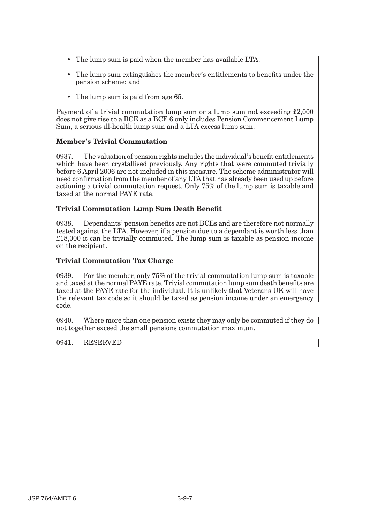- The lump sum is paid when the member has available LTA.
- • The lump sum extinguishes the member's entitlements to benefits under the pension scheme; and
- The lump sum is paid from age 65.

Payment of a trivial commutation lump sum or a lump sum not exceeding £2,000 does not give rise to a BCE as a BCE 6 only includes Pension Commencement Lump Sum, a serious ill-health lump sum and a LTA excess lump sum.

## **Member's Trivial Commutation**

0937. The valuation of pension rights includes the individual's benefit entitlements which have been crystallised previously. Any rights that were commuted trivially before 6 April 2006 are not included in this measure. The scheme administrator will need confirmation from the member of any LTA that has already been used up before actioning a trivial commutation request. Only 75% of the lump sum is taxable and taxed at the normal PAYE rate.

## **Trivial Commutation Lump Sum Death Benefit**

0938. Dependants' pension benefits are not BCEs and are therefore not normally tested against the LTA. However, if a pension due to a dependant is worth less than £18,000 it can be trivially commuted. The lump sum is taxable as pension income on the recipient.

## **Trivial Commutation Tax Charge**

0939. For the member, only 75% of the trivial commutation lump sum is taxable and taxed at the normal PAYE rate. Trivial commutation lump sum death benefits are taxed at the PAYE rate for the individual. It is unlikely that Veterans UK will have the relevant tax code so it should be taxed as pension income under an emergency code.

0940. Where more than one pension exists they may only be commuted if they do  $\vert$ not together exceed the small pensions commutation maximum.

I

0941. RESERVED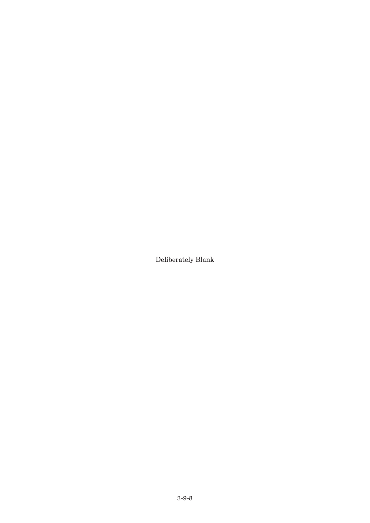Deliberately Blank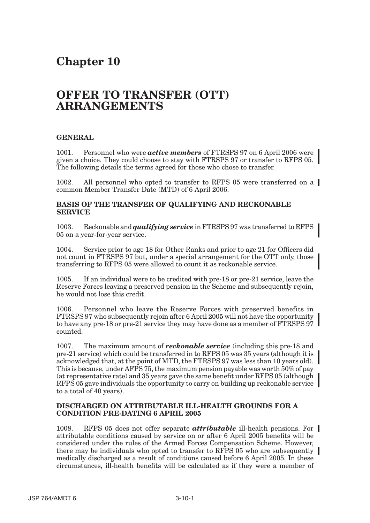## **OFFER TO TRANSFER (OTT) ARRANGEMENTS**

#### **GENERAL**

1001. Personnel who were *active members* of FTRSPS 97 on 6 April 2006 were given a choice. They could choose to stay with FTRSPS 97 or transfer to RFPS 05. The following details the terms agreed for those who chose to transfer.

1002. All personnel who opted to transfer to RFPS 05 were transferred on a common Member Transfer Date (MTD) of 6 April 2006.

#### **BASIS OF THE TRANSFER OF QUALIFYING AND RECKONABLE SERVICE**

1003. Reckonable and *qualifying service* in FTRSPS 97 was transferred to RFPS 05 on a year-for-year service.

1004. Service prior to age 18 for Other Ranks and prior to age 21 for Officers did not count in FTRSPS 97 but, under a special arrangement for the OTT only, those transferring to RFPS 05 were allowed to count it as reckonable service.

1005. If an individual were to be credited with pre-18 or pre-21 service, leave the Reserve Forces leaving a preserved pension in the Scheme and subsequently rejoin, he would not lose this credit.

1006. Personnel who leave the Reserve Forces with preserved benefits in FTRSPS 97 who subsequently rejoin after 6 April 2005 will not have the opportunity to have any pre-18 or pre-21 service they may have done as a member of  $\overline{\text{FTRSPS 97}}$ counted.

1007. The maximum amount of *reckonable service* (including this pre-18 and pre-21 service) which could be transferred in to RFPS 05 was 35 years (although it is acknowledged that, at the point of MTD, the FTRSPS 97 was less than 10 years old). This is because, under AFPS 75, the maximum pension payable was worth 50% of pay (at representative rate) and 35 years gave the same benefit under RFPS 05 (although RFPS 05 gave individuals the opportunity to carry on building up reckonable service to a total of 40 years).

#### **DISCHARGED ON ATTRIBUTABLE ILL-HEALTH GROUNDS FOR A CONDITION PRE-DATING 6 APRIL 2005**

1008. RFPS 05 does not offer separate *attributable* ill-health pensions. For attributable conditions caused by service on or after 6 April 2005 benefits will be considered under the rules of the Armed Forces Compensation Scheme. However, there may be individuals who opted to transfer to RFPS 05 who are subsequently medically discharged as a result of conditions caused before 6 April 2005. In these circumstances, ill-health benefits will be calculated as if they were a member of